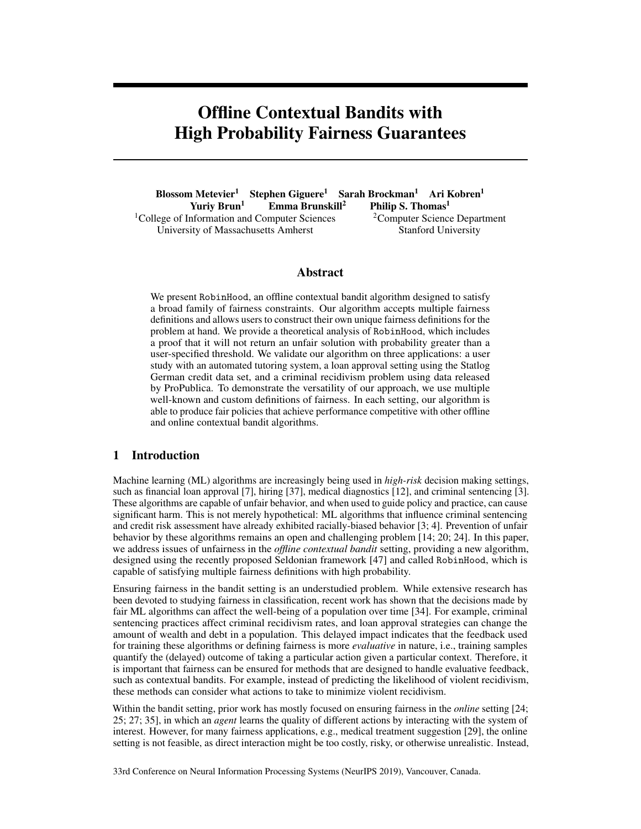# Offline Contextual Bandits with High Probability Fairness Guarantees

Blossom Metevier<sup>1</sup> Stephen Giguere<sup>1</sup> Sarah Brockman<sup>1</sup> Ari Kobren<sup>1</sup> Yuriy Brun<sup>1</sup> Emma Brunskill<sup>2</sup> Philip S. Thomas<sup>1</sup> Philip S. Thomas<sup>1</sup> <sup>1</sup>College of Information and Computer Sciences  $2^2$ Computer Science Department University of Massachusetts Amherst Stanford University

## Abstract

We present RobinHood, an offline contextual bandit algorithm designed to satisfy a broad family of fairness constraints. Our algorithm accepts multiple fairness definitions and allows users to construct their own unique fairness definitions for the problem at hand. We provide a theoretical analysis of RobinHood, which includes a proof that it will not return an unfair solution with probability greater than a user-specified threshold. We validate our algorithm on three applications: a user study with an automated tutoring system, a loan approval setting using the Statlog German credit data set, and a criminal recidivism problem using data released by ProPublica. To demonstrate the versatility of our approach, we use multiple well-known and custom definitions of fairness. In each setting, our algorithm is able to produce fair policies that achieve performance competitive with other offline and online contextual bandit algorithms.

### 1 Introduction

Machine learning (ML) algorithms are increasingly being used in *high-risk* decision making settings, such as financial loan approval [7], hiring [37], medical diagnostics [12], and criminal sentencing [3]. These algorithms are capable of unfair behavior, and when used to guide policy and practice, can cause significant harm. This is not merely hypothetical: ML algorithms that influence criminal sentencing and credit risk assessment have already exhibited racially-biased behavior [3; 4]. Prevention of unfair behavior by these algorithms remains an open and challenging problem [14; 20; 24]. In this paper, we address issues of unfairness in the *offline contextual bandit* setting, providing a new algorithm, designed using the recently proposed Seldonian framework [47] and called RobinHood, which is capable of satisfying multiple fairness definitions with high probability.

Ensuring fairness in the bandit setting is an understudied problem. While extensive research has been devoted to studying fairness in classification, recent work has shown that the decisions made by fair ML algorithms can affect the well-being of a population over time [34]. For example, criminal sentencing practices affect criminal recidivism rates, and loan approval strategies can change the amount of wealth and debt in a population. This delayed impact indicates that the feedback used for training these algorithms or defining fairness is more *evaluative* in nature, i.e., training samples quantify the (delayed) outcome of taking a particular action given a particular context. Therefore, it is important that fairness can be ensured for methods that are designed to handle evaluative feedback, such as contextual bandits. For example, instead of predicting the likelihood of violent recidivism, these methods can consider what actions to take to minimize violent recidivism.

Within the bandit setting, prior work has mostly focused on ensuring fairness in the *online* setting [24; 25; 27; 35], in which an *agent* learns the quality of different actions by interacting with the system of interest. However, for many fairness applications, e.g., medical treatment suggestion [29], the online setting is not feasible, as direct interaction might be too costly, risky, or otherwise unrealistic. Instead,

33rd Conference on Neural Information Processing Systems (NeurIPS 2019), Vancouver, Canada.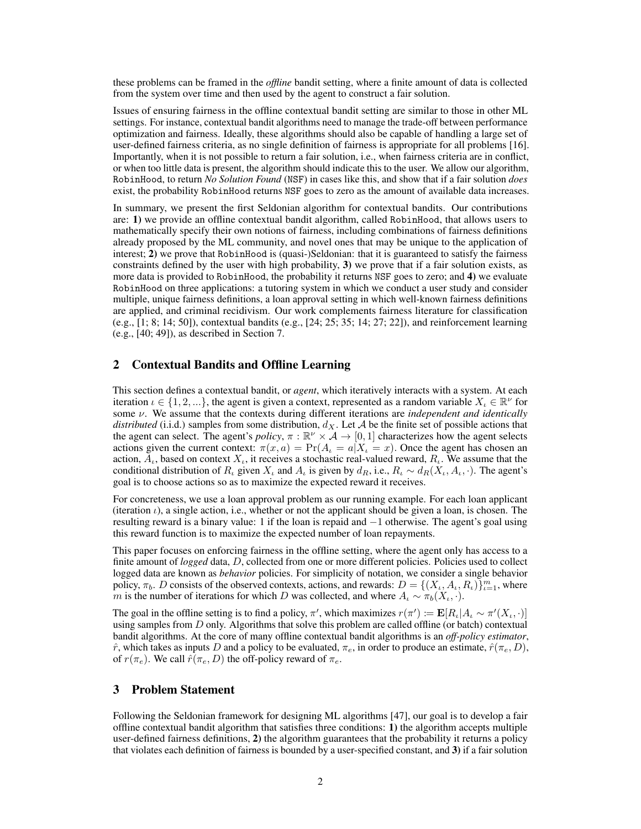these problems can be framed in the *offline* bandit setting, where a finite amount of data is collected from the system over time and then used by the agent to construct a fair solution.

Issues of ensuring fairness in the offline contextual bandit setting are similar to those in other ML settings. For instance, contextual bandit algorithms need to manage the trade-off between performance optimization and fairness. Ideally, these algorithms should also be capable of handling a large set of user-defined fairness criteria, as no single definition of fairness is appropriate for all problems [16]. Importantly, when it is not possible to return a fair solution, i.e., when fairness criteria are in conflict, or when too little data is present, the algorithm should indicate this to the user. We allow our algorithm, RobinHood, to return *No Solution Found* (NSF) in cases like this, and show that if a fair solution *does* exist, the probability RobinHood returns NSF goes to zero as the amount of available data increases.

In summary, we present the first Seldonian algorithm for contextual bandits. Our contributions are: 1) we provide an offline contextual bandit algorithm, called RobinHood, that allows users to mathematically specify their own notions of fairness, including combinations of fairness definitions already proposed by the ML community, and novel ones that may be unique to the application of interest; 2) we prove that RobinHood is (quasi-)Seldonian: that it is guaranteed to satisfy the fairness constraints defined by the user with high probability, 3) we prove that if a fair solution exists, as more data is provided to RobinHood, the probability it returns NSF goes to zero; and 4) we evaluate RobinHood on three applications: a tutoring system in which we conduct a user study and consider multiple, unique fairness definitions, a loan approval setting in which well-known fairness definitions are applied, and criminal recidivism. Our work complements fairness literature for classification (e.g., [1; 8; 14; 50]), contextual bandits (e.g., [24; 25; 35; 14; 27; 22]), and reinforcement learning (e.g., [40; 49]), as described in Section 7.

## 2 Contextual Bandits and Offline Learning

This section defines a contextual bandit, or *agent*, which iteratively interacts with a system. At each iteration  $\iota \in \{1, 2, \ldots\}$ , the agent is given a context, represented as a random variable  $X_{\iota} \in \mathbb{R}^{\nu}$  for some  $\nu$ . We assume that the contexts during different iterations are *independent and identically distributed* (i.i.d.) samples from some distribution,  $d_X$ . Let  $A$  be the finite set of possible actions that the agent can select. The agent's *policy*,  $\pi : \mathbb{R}^{\nu} \times A \to [0, 1]$  characterizes how the agent selects actions given the current context:  $\pi(x, a) = \Pr(A_t = a | X_t = x)$ . Once the agent has chosen an action,  $A_t$ , based on context  $X_t$ , it receives a stochastic real-valued reward,  $R_t$ . We assume that the conditional distribution of  $R_t$  given  $X_t$  and  $A_t$  is given by  $d_R$ , i.e.,  $R_t \sim d_R(X_t, A_t, \cdot)$ . The agent's goal is to choose actions so as to maximize the expected reward it receives.

For concreteness, we use a loan approval problem as our running example. For each loan applicant (iteration  $\iota$ ), a single action, i.e., whether or not the applicant should be given a loan, is chosen. The resulting reward is a binary value: 1 if the loan is repaid and  $-1$  otherwise. The agent's goal using this reward function is to maximize the expected number of loan repayments.

This paper focuses on enforcing fairness in the offline setting, where the agent only has access to a finite amount of *logged* data, *D*, collected from one or more different policies. Policies used to collect logged data are known as *behavior* policies. For simplicity of notation, we consider a single behavior policy,  $\pi_b$ . *D* consists of the observed contexts, actions, and rewards:  $D = \{(X_t, A_t, R_t)\}_{t=1}^m$ , where *m* is the number of iterations for which *D* was collected, and where  $A_i \sim \pi_b(X_i, \cdot)$ .

The goal in the offline setting is to find a policy,  $\pi'$ , which maximizes  $r(\pi') := \mathbf{E}[R_{\iota}|A_{\iota} \sim \pi'(X_{\iota}, \cdot)]$ using samples from *D* only. Algorithms that solve this problem are called offline (or batch) contextual bandit algorithms. At the core of many offline contextual bandit algorithms is an *off-policy estimator*,  $\hat{r}$ , which takes as inputs *D* and a policy to be evaluated,  $\pi_e$ , in order to produce an estimate,  $\hat{r}(\pi_e, D)$ , of  $r(\pi_e)$ . We call  $\hat{r}(\pi_e, D)$  the off-policy reward of  $\pi_e$ .

# 3 Problem Statement

Following the Seldonian framework for designing ML algorithms [47], our goal is to develop a fair offline contextual bandit algorithm that satisfies three conditions: 1) the algorithm accepts multiple user-defined fairness definitions, 2) the algorithm guarantees that the probability it returns a policy that violates each definition of fairness is bounded by a user-specified constant, and 3) if a fair solution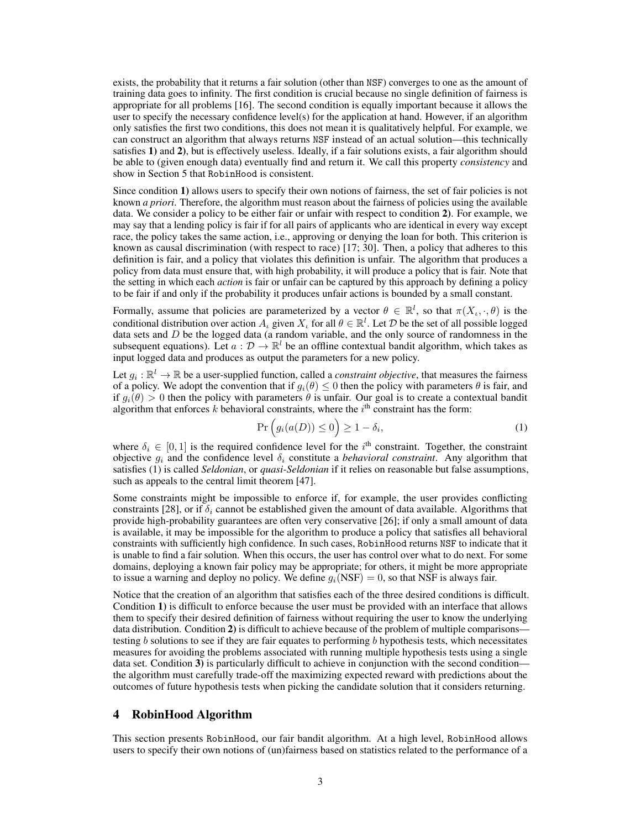exists, the probability that it returns a fair solution (other than NSF) converges to one as the amount of training data goes to infinity. The first condition is crucial because no single definition of fairness is appropriate for all problems [16]. The second condition is equally important because it allows the user to specify the necessary confidence level(s) for the application at hand. However, if an algorithm only satisfies the first two conditions, this does not mean it is qualitatively helpful. For example, we can construct an algorithm that always returns NSF instead of an actual solution—this technically satisfies 1) and 2), but is effectively useless. Ideally, if a fair solutions exists, a fair algorithm should be able to (given enough data) eventually find and return it. We call this property *consistency* and show in Section 5 that RobinHood is consistent.

Since condition 1) allows users to specify their own notions of fairness, the set of fair policies is not known *a priori*. Therefore, the algorithm must reason about the fairness of policies using the available data. We consider a policy to be either fair or unfair with respect to condition 2). For example, we may say that a lending policy is fair if for all pairs of applicants who are identical in every way except race, the policy takes the same action, i.e., approving or denying the loan for both. This criterion is known as causal discrimination (with respect to race) [17; 30]. Then, a policy that adheres to this definition is fair, and a policy that violates this definition is unfair. The algorithm that produces a policy from data must ensure that, with high probability, it will produce a policy that is fair. Note that the setting in which each *action* is fair or unfair can be captured by this approach by defining a policy to be fair if and only if the probability it produces unfair actions is bounded by a small constant.

Formally, assume that policies are parameterized by a vector  $\theta \in \mathbb{R}^l$ , so that  $\pi(X_\iota, \cdot, \theta)$  is the conditional distribution over action  $A_\iota$  given  $X_\iota$  for all  $\theta \in \mathbb{R}^l$ . Let  $\mathcal D$  be the set of all possible logged data sets and *D* be the logged data (a random variable, and the only source of randomness in the subsequent equations). Let  $a : \mathcal{D} \to \mathbb{R}^l$  be an offline contextual bandit algorithm, which takes as input logged data and produces as output the parameters for a new policy.

Let  $g_i : \mathbb{R}^l \to \mathbb{R}$  be a user-supplied function, called a *constraint objective*, that measures the fairness of a policy. We adopt the convention that if  $g_i(\theta) \leq 0$  then the policy with parameters  $\theta$  is fair, and if  $q_i(\theta) > 0$  then the policy with parameters  $\theta$  is unfair. Our goal is to create a contextual bandit algorithm that enforces  $k$  behavioral constraints, where the  $i<sup>th</sup>$  constraint has the form:

$$
\Pr\left(g_i(a(D)) \le 0\right) \ge 1 - \delta_i,\tag{1}
$$

where  $\delta_i \in [0, 1]$  is the required confidence level for the *i*<sup>th</sup> constraint. Together, the constraint objective  $q_i$  and the confidence level  $\delta_i$  constitute a *behavioral constraint*. Any algorithm that satisfies (1) is called *Seldonian*, or *quasi-Seldonian* if it relies on reasonable but false assumptions, such as appeals to the central limit theorem [47].

Some constraints might be impossible to enforce if, for example, the user provides conflicting constraints [28], or if  $\delta_i$  cannot be established given the amount of data available. Algorithms that provide high-probability guarantees are often very conservative [26]; if only a small amount of data is available, it may be impossible for the algorithm to produce a policy that satisfies all behavioral constraints with sufficiently high confidence. In such cases, RobinHood returns NSF to indicate that it is unable to find a fair solution. When this occurs, the user has control over what to do next. For some domains, deploying a known fair policy may be appropriate; for others, it might be more appropriate to issue a warning and deploy no policy. We define  $g_i(NSF)=0$ , so that NSF is always fair.

Notice that the creation of an algorithm that satisfies each of the three desired conditions is difficult. Condition 1) is difficult to enforce because the user must be provided with an interface that allows them to specify their desired definition of fairness without requiring the user to know the underlying data distribution. Condition 2) is difficult to achieve because of the problem of multiple comparisons testing *b* solutions to see if they are fair equates to performing *b* hypothesis tests, which necessitates measures for avoiding the problems associated with running multiple hypothesis tests using a single data set. Condition 3) is particularly difficult to achieve in conjunction with the second condition the algorithm must carefully trade-off the maximizing expected reward with predictions about the outcomes of future hypothesis tests when picking the candidate solution that it considers returning.

#### 4 RobinHood Algorithm

This section presents RobinHood, our fair bandit algorithm. At a high level, RobinHood allows users to specify their own notions of (un)fairness based on statistics related to the performance of a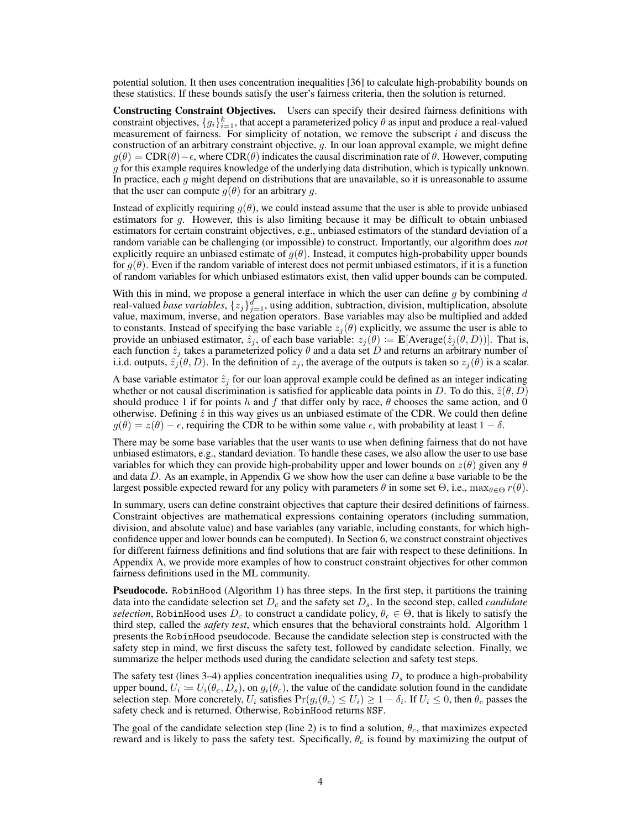potential solution. It then uses concentration inequalities [36] to calculate high-probability bounds on these statistics. If these bounds satisfy the user's fairness criteria, then the solution is returned.

Constructing Constraint Objectives. Users can specify their desired fairness definitions with constraint objectives,  $\{g_i\}_{i=1}^k$ , that accept a parameterized policy  $\theta$  as input and produce a real-valued measurement of fairness. For simplicity of notation, we remove the subscript *i* and discuss the construction of an arbitrary constraint objective, *g*. In our loan approval example, we might define  $q(\theta) = \text{CDR}(\theta) - \epsilon$ , where CDR( $\theta$ ) indicates the causal discrimination rate of  $\theta$ . However, computing *g* for this example requires knowledge of the underlying data distribution, which is typically unknown. In practice, each *g* might depend on distributions that are unavailable, so it is unreasonable to assume that the user can compute  $g(\theta)$  for an arbitrary g.

Instead of explicitly requiring  $g(\theta)$ , we could instead assume that the user is able to provide unbiased estimators for *g*. However, this is also limiting because it may be difficult to obtain unbiased estimators for certain constraint objectives, e.g., unbiased estimators of the standard deviation of a random variable can be challenging (or impossible) to construct. Importantly, our algorithm does *not* explicitly require an unbiased estimate of  $g(\theta)$ . Instead, it computes high-probability upper bounds for  $g(\theta)$ . Even if the random variable of interest does not permit unbiased estimators, if it is a function of random variables for which unbiased estimators exist, then valid upper bounds can be computed.

With this in mind, we propose a general interface in which the user can define *g* by combining *d* real-valued *base variables*,  $\{z_j\}_{j=1}^d$ , using addition, subtraction, division, multiplication, absolute value, maximum, inverse, and negation operators. Base variables may also be multiplied and added to constants. Instead of specifying the base variable  $z_j(\theta)$  explicitly, we assume the user is able to provide an unbiased estimator,  $\hat{z}_j$ , of each base variable:  $z_j(\theta) := \mathbf{E}[\text{Average}(\hat{z}_j(\theta, D))]$ . That is, each function  $\hat{z}_j$  takes a parameterized policy  $\theta$  and a data set *D* and returns an arbitrary number of i.i.d. outputs,  $\hat{z}_j(\theta, D)$ . In the definition of  $z_j$ , the average of the outputs is taken so  $z_j(\theta)$  is a scalar.

A base variable estimator  $\hat{z}_j$  for our loan approval example could be defined as an integer indicating whether or not causal discrimination is satisfied for applicable data points in *D*. To do this,  $\hat{z}(\theta, D)$ should produce 1 if for points *h* and *f* that differ only by race,  $\theta$  chooses the same action, and 0 otherwise. Defining  $\hat{z}$  in this way gives us an unbiased estimate of the CDR. We could then define  $g(\theta) = z(\theta) - \epsilon$ , requiring the CDR to be within some value  $\epsilon$ , with probability at least  $1 - \delta$ .

There may be some base variables that the user wants to use when defining fairness that do not have unbiased estimators, e.g., standard deviation. To handle these cases, we also allow the user to use base variables for which they can provide high-probability upper and lower bounds on  $z(\theta)$  given any  $\theta$ and data *D*. As an example, in Appendix G we show how the user can define a base variable to be the largest possible expected reward for any policy with parameters  $\theta$  in some set  $\Theta$ , i.e.,  $\max_{\theta \in \Theta} r(\theta)$ .

In summary, users can define constraint objectives that capture their desired definitions of fairness. Constraint objectives are mathematical expressions containing operators (including summation, division, and absolute value) and base variables (any variable, including constants, for which highconfidence upper and lower bounds can be computed). In Section 6, we construct constraint objectives for different fairness definitions and find solutions that are fair with respect to these definitions. In Appendix A, we provide more examples of how to construct constraint objectives for other common fairness definitions used in the ML community.

Pseudocode. RobinHood (Algorithm 1) has three steps. In the first step, it partitions the training data into the candidate selection set *D<sup>c</sup>* and the safety set *Ds*. In the second step, called *candidate selection*, RobinHood uses  $D_c$  to construct a candidate policy,  $\theta_c \in \Theta$ , that is likely to satisfy the third step, called the *safety test*, which ensures that the behavioral constraints hold. Algorithm 1 presents the RobinHood pseudocode. Because the candidate selection step is constructed with the safety step in mind, we first discuss the safety test, followed by candidate selection. Finally, we summarize the helper methods used during the candidate selection and safety test steps.

The safety test (lines 3–4) applies concentration inequalities using  $D_s$  to produce a high-probability upper bound,  $U_i := U_i(\theta_c, D_s)$ , on  $g_i(\theta_c)$ , the value of the candidate solution found in the candidate selection step. More concretely,  $U_i$  satisfies  $Pr(g_i(\theta_c) \leq U_i) \geq 1 - \delta_i$ . If  $U_i \leq 0$ , then  $\theta_c$  passes the safety check and is returned. Otherwise, RobinHood returns NSF.

The goal of the candidate selection step (line 2) is to find a solution,  $\theta_c$ , that maximizes expected reward and is likely to pass the safety test. Specifically,  $\theta_c$  is found by maximizing the output of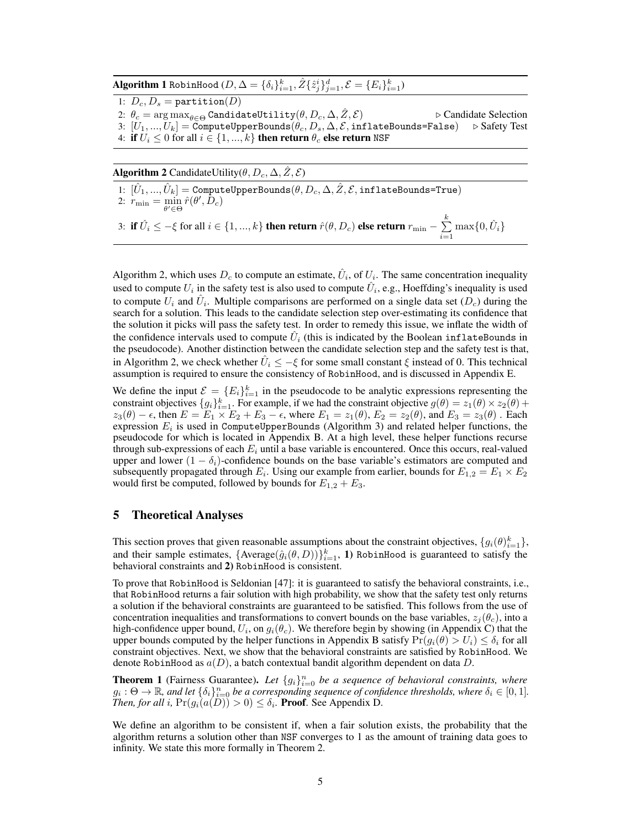$\Delta$ **lgorithm 1** RobinHood ( $D, \Delta = \{\delta_i\}_{i=1}^k, \hat{Z}\{\hat{z}_j^i\}_{j=1}^d, \mathcal{E} = \{E_i\}_{i=1}^k\}$ 

1:  $D_c$ ,  $D_s$  = partition(*D*) 2:  $\theta_c = \arg \max_{\theta \in \Theta}$  CandidateUtility $(\theta, D_c, \Delta, \hat{Z}, \mathcal{E})$  .  $\triangleright$  Candidate Selection  $\mathcal{B}:\left[U_1,\ldots,U_k\right]=\text{ComputeUpperBounds}(\theta_c,D_s,\Delta,\mathcal{E},\text{inflateBounds}=\text{False})\quad \triangleright \text{Safety Test}$ 4: if  $U_i \leq 0$  for all  $i \in \{1, ..., k\}$  then return  $\theta_c$  else return NSF

Algorithm 2 CandidateUtility( $\theta$ ,  $D_c$ ,  $\Delta$ ,  $\hat{Z}$ ,  $\hat{Z}$ )

 $[1: [\hat{U}_1, ..., \hat{U}_k] =$ ComputeUpperBounds $(\theta, D_c, \Delta, \hat{Z}, \mathcal{E}, \text{inflateBounds}$ True) 2:  $r_{\min} = \min_{\theta' \in \Theta} \hat{r}(\theta', D_c)$ 

3: if  $\hat{U}_i \le -\xi$  for all  $i \in \{1, ..., k\}$  then return  $\hat{r}(\theta, D_c)$  else return  $r_{\min} - \sum_{i=1}^k \hat{V}_i$  $\sum_{i=1}^{n} \max\{0, \hat{U}_i\}$ 

Algorithm 2, which uses  $D_c$  to compute an estimate,  $\hat{U}_i$ , of  $U_i$ . The same concentration inequality used to compute  $U_i$  in the safety test is also used to compute  $U_i$ , e.g., Hoeffding's inequality is used to compute  $U_i$  and  $\hat{U}_i$ . Multiple comparisons are performed on a single data set  $(D_c)$  during the search for a solution. This leads to the candidate selection step over-estimating its confidence that the solution it picks will pass the safety test. In order to remedy this issue, we inflate the width of the confidence intervals used to compute  $\hat{U}_i$  (this is indicated by the Boolean inflateBounds in the pseudocode). Another distinction between the candidate selection step and the safety test is that, in Algorithm 2, we check whether  $\hat{U}_i \le -\xi$  for some small constant  $\xi$  instead of 0. This technical assumption is required to ensure the consistency of RobinHood, and is discussed in Appendix E.

We define the input  $\mathcal{E} = \{E_i\}_{i=1}^k$  in the pseudocode to be analytic expressions representing the constraint objectives  ${g_i}_{i=1}^k$ . For example, if we had the constraint objective  $g(\theta) = z_1(\theta) \times z_2(\theta) +$  $z_3(\theta) - \epsilon$ , then  $E = E_1 \times E_2 + E_3 - \epsilon$ , where  $E_1 = z_1(\theta)$ ,  $E_2 = z_2(\theta)$ , and  $E_3 = z_3(\theta)$ . Each expression  $E_i$  is used in ComputeUpperBounds (Algorithm 3) and related helper functions, the pseudocode for which is located in Appendix B. At a high level, these helper functions recurse through sub-expressions of each  $E_i$  until a base variable is encountered. Once this occurs, real-valued upper and lower  $(1 - \delta_i)$ -confidence bounds on the base variable's estimators are computed and subsequently propagated through  $E_i$ . Using our example from earlier, bounds for  $E_{1,2} = E_1 \times E_2$ would first be computed, followed by bounds for  $E_{1,2} + E_3$ .

#### 5 Theoretical Analyses

This section proves that given reasonable assumptions about the constraint objectives,  $\{g_i(\theta)_{i=1}^k\}$ , and their sample estimates,  $\{Average(\hat{g}_i(\theta, D))\}_{i=1}^k$ , 1) RobinHood is guaranteed to satisfy the behavioral constraints and 2) RobinHood is consistent.

To prove that RobinHood is Seldonian [47]: it is guaranteed to satisfy the behavioral constraints, i.e., that RobinHood returns a fair solution with high probability, we show that the safety test only returns a solution if the behavioral constraints are guaranteed to be satisfied. This follows from the use of concentration inequalities and transformations to convert bounds on the base variables,  $z_i(\theta_c)$ , into a high-confidence upper bound,  $U_i$ , on  $g_i(\theta_c)$ . We therefore begin by showing (in Appendix C) that the upper bounds computed by the helper functions in Appendix B satisfy  $Pr(q_i(\theta) > U_i) \leq \delta_i$  for all constraint objectives. Next, we show that the behavioral constraints are satisfied by RobinHood. We denote RobinHood as *a*(*D*), a batch contextual bandit algorithm dependent on data *D*.

**Theorem 1** (Fairness Guarantee). Let  $\{g_i\}_{i=0}^n$  be a sequence of behavioral constraints, where  $g_i : \Theta \to \mathbb{R}$ , and let  $\{\delta_i\}_{i=0}^n$  be a corresponding sequence of confidence thresholds, where  $\delta_i \in [0,1]$ . *Then, for all i*,  $Pr(g_i(a(D)) > 0) \leq \delta_i$ . **Proof.** See Appendix D.

We define an algorithm to be consistent if, when a fair solution exists, the probability that the algorithm returns a solution other than NSF converges to 1 as the amount of training data goes to infinity. We state this more formally in Theorem 2.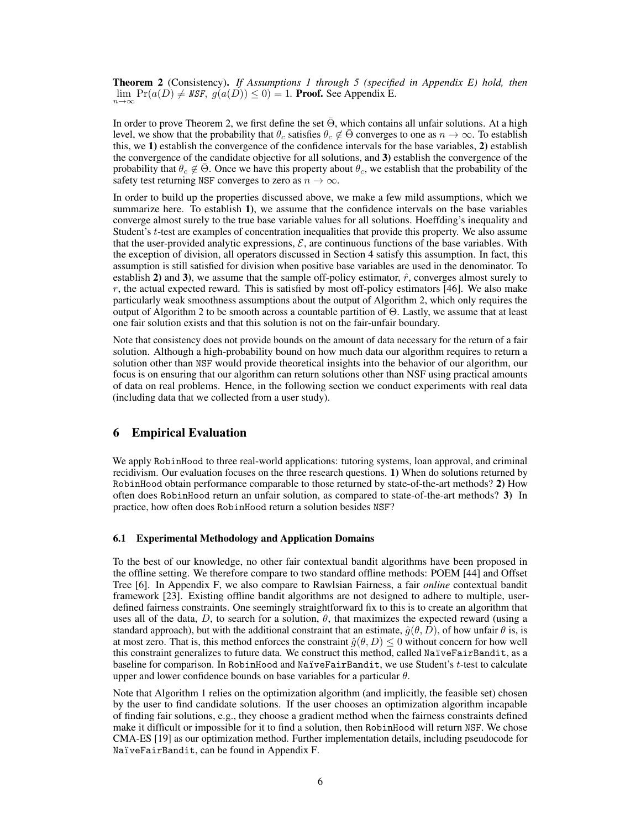Theorem 2 (Consistency). *If Assumptions 1 through 5 (specified in Appendix E) hold, then*  $\lim_{n\to\infty}$  Pr( $a(D) \neq$  *NSF,*  $g(a(D)) \leq 0$ ) = 1. **Proof.** See Appendix E.

In order to prove Theorem 2, we first define the set  $\Theta$ , which contains all unfair solutions. At a high level, we show that the probability that  $\theta_c$  satisfies  $\theta_c \notin \Theta$  converges to one as  $n \to \infty$ . To establish this, we 1) establish the convergence of the confidence intervals for the base variables, 2) establish the convergence of the candidate objective for all solutions, and 3) establish the convergence of the probability that  $\theta_c \notin \Theta$ . Once we have this property about  $\theta_c$ , we establish that the probability of the safety test returning NSF converges to zero as  $n \to \infty$ .

In order to build up the properties discussed above, we make a few mild assumptions, which we summarize here. To establish 1), we assume that the confidence intervals on the base variables converge almost surely to the true base variable values for all solutions. Hoeffding's inequality and Student's *t*-test are examples of concentration inequalities that provide this property. We also assume that the user-provided analytic expressions,  $\mathcal{E}$ , are continuous functions of the base variables. With the exception of division, all operators discussed in Section 4 satisfy this assumption. In fact, this assumption is still satisfied for division when positive base variables are used in the denominator. To establish 2) and 3), we assume that the sample off-policy estimator,  $\hat{r}$ , converges almost surely to *r*, the actual expected reward. This is satisfied by most off-policy estimators [46]. We also make particularly weak smoothness assumptions about the output of Algorithm 2, which only requires the output of Algorithm 2 to be smooth across a countable partition of  $\Theta$ . Lastly, we assume that at least one fair solution exists and that this solution is not on the fair-unfair boundary.

Note that consistency does not provide bounds on the amount of data necessary for the return of a fair solution. Although a high-probability bound on how much data our algorithm requires to return a solution other than NSF would provide theoretical insights into the behavior of our algorithm, our focus is on ensuring that our algorithm can return solutions other than NSF using practical amounts of data on real problems. Hence, in the following section we conduct experiments with real data (including data that we collected from a user study).

## 6 Empirical Evaluation

We apply RobinHood to three real-world applications: tutoring systems, loan approval, and criminal recidivism. Our evaluation focuses on the three research questions. 1) When do solutions returned by RobinHood obtain performance comparable to those returned by state-of-the-art methods? 2) How often does RobinHood return an unfair solution, as compared to state-of-the-art methods? 3) In practice, how often does RobinHood return a solution besides NSF?

#### 6.1 Experimental Methodology and Application Domains

To the best of our knowledge, no other fair contextual bandit algorithms have been proposed in the offline setting. We therefore compare to two standard offline methods: POEM [44] and Offset Tree [6]. In Appendix F, we also compare to Rawlsian Fairness, a fair *online* contextual bandit framework [23]. Existing offline bandit algorithms are not designed to adhere to multiple, userdefined fairness constraints. One seemingly straightforward fix to this is to create an algorithm that uses all of the data,  $D$ , to search for a solution,  $\theta$ , that maximizes the expected reward (using a standard approach), but with the additional constraint that an estimate,  $\hat{g}(\theta, D)$ , of how unfair  $\theta$  is, is at most zero. That is, this method enforces the constraint  $\hat{g}(\theta, D) \leq 0$  without concern for how well this constraint generalizes to future data. We construct this method, called NaïveFairBandit, as a baseline for comparison. In RobinHood and NaïveFairBandit, we use Student's *t*-test to calculate upper and lower confidence bounds on base variables for a particular  $\theta$ .

Note that Algorithm 1 relies on the optimization algorithm (and implicitly, the feasible set) chosen by the user to find candidate solutions. If the user chooses an optimization algorithm incapable of finding fair solutions, e.g., they choose a gradient method when the fairness constraints defined make it difficult or impossible for it to find a solution, then RobinHood will return NSF. We chose CMA-ES [19] as our optimization method. Further implementation details, including pseudocode for NaïveFairBandit, can be found in Appendix F.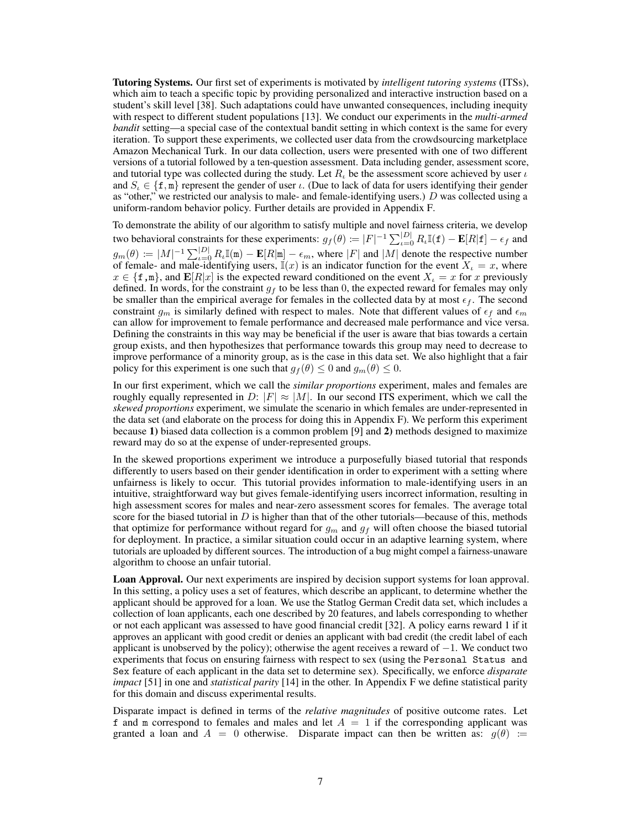Tutoring Systems. Our first set of experiments is motivated by *intelligent tutoring systems* (ITSs), which aim to teach a specific topic by providing personalized and interactive instruction based on a student's skill level [38]. Such adaptations could have unwanted consequences, including inequity with respect to different student populations [13]. We conduct our experiments in the *multi-armed bandit* setting—a special case of the contextual bandit setting in which context is the same for every iteration. To support these experiments, we collected user data from the crowdsourcing marketplace Amazon Mechanical Turk. In our data collection, users were presented with one of two different versions of a tutorial followed by a ten-question assessment. Data including gender, assessment score, and tutorial type was collected during the study. Let  $R_t$  be the assessment score achieved by user  $\iota$ and  $S_i \in \{f, m\}$  represent the gender of user  $i$ . (Due to lack of data for users identifying their gender as "other," we restricted our analysis to male- and female-identifying users.) *D* was collected using a uniform-random behavior policy. Further details are provided in Appendix F.

To demonstrate the ability of our algorithm to satisfy multiple and novel fairness criteria, we develop two behavioral constraints for these experiments:  $g_f(\theta) := |F|^{-1} \sum_{\iota=0}^{|D|} R_{\iota} \mathbb{I}(\mathbf{f}) - \mathbf{E}[R|\mathbf{f}] - \epsilon_f$  and  $g_m(\theta) := |M|^{-1} \sum_{\iota=0}^{|D|} R_{\iota} \mathbb{I}(\mathfrak{m}) - \mathbf{E}[R|\mathfrak{m}] - \epsilon_m$ , where  $|F|$  and  $|M|$  denote the respective number of female- and male-identifying users,  $\mathbb{I}(x)$  is an indicator function for the event  $X_t = x$ , where  $x \in \{f, m\}$ , and  $\mathbf{E}[R|x]$  is the expected reward conditioned on the event  $X_i = x$  for *x* previously defined. In words, for the constraint  $g_f$  to be less than 0, the expected reward for females may only be smaller than the empirical average for females in the collected data by at most  $\epsilon_f$ . The second constraint  $g_m$  is similarly defined with respect to males. Note that different values of  $\epsilon_f$  and  $\epsilon_m$ can allow for improvement to female performance and decreased male performance and vice versa. Defining the constraints in this way may be beneficial if the user is aware that bias towards a certain group exists, and then hypothesizes that performance towards this group may need to decrease to improve performance of a minority group, as is the case in this data set. We also highlight that a fair policy for this experiment is one such that  $g_f(\theta) \leq 0$  and  $g_m(\theta) \leq 0$ .

In our first experiment, which we call the *similar proportions* experiment, males and females are roughly equally represented in *D*:  $|F| \approx |M|$ . In our second ITS experiment, which we call the *skewed proportions* experiment, we simulate the scenario in which females are under-represented in the data set (and elaborate on the process for doing this in Appendix F). We perform this experiment because 1) biased data collection is a common problem [9] and 2) methods designed to maximize reward may do so at the expense of under-represented groups.

In the skewed proportions experiment we introduce a purposefully biased tutorial that responds differently to users based on their gender identification in order to experiment with a setting where unfairness is likely to occur. This tutorial provides information to male-identifying users in an intuitive, straightforward way but gives female-identifying users incorrect information, resulting in high assessment scores for males and near-zero assessment scores for females. The average total score for the biased tutorial in  $D$  is higher than that of the other tutorials—because of this, methods that optimize for performance without regard for  $g_m$  and  $g_f$  will often choose the biased tutorial for deployment. In practice, a similar situation could occur in an adaptive learning system, where tutorials are uploaded by different sources. The introduction of a bug might compel a fairness-unaware algorithm to choose an unfair tutorial.

Loan Approval. Our next experiments are inspired by decision support systems for loan approval. In this setting, a policy uses a set of features, which describe an applicant, to determine whether the applicant should be approved for a loan. We use the Statlog German Credit data set, which includes a collection of loan applicants, each one described by 20 features, and labels corresponding to whether or not each applicant was assessed to have good financial credit [32]. A policy earns reward 1 if it approves an applicant with good credit or denies an applicant with bad credit (the credit label of each applicant is unobserved by the policy); otherwise the agent receives a reward of  $-1$ . We conduct two experiments that focus on ensuring fairness with respect to sex (using the Personal Status and Sex feature of each applicant in the data set to determine sex). Specifically, we enforce *disparate impact* [51] in one and *statistical parity* [14] in the other. In Appendix F we define statistical parity for this domain and discuss experimental results.

Disparate impact is defined in terms of the *relative magnitudes* of positive outcome rates. Let f and m correspond to females and males and let  $A = 1$  if the corresponding applicant was granted a loan and  $A = 0$  otherwise. Disparate impact can then be written as:  $g(\theta) :=$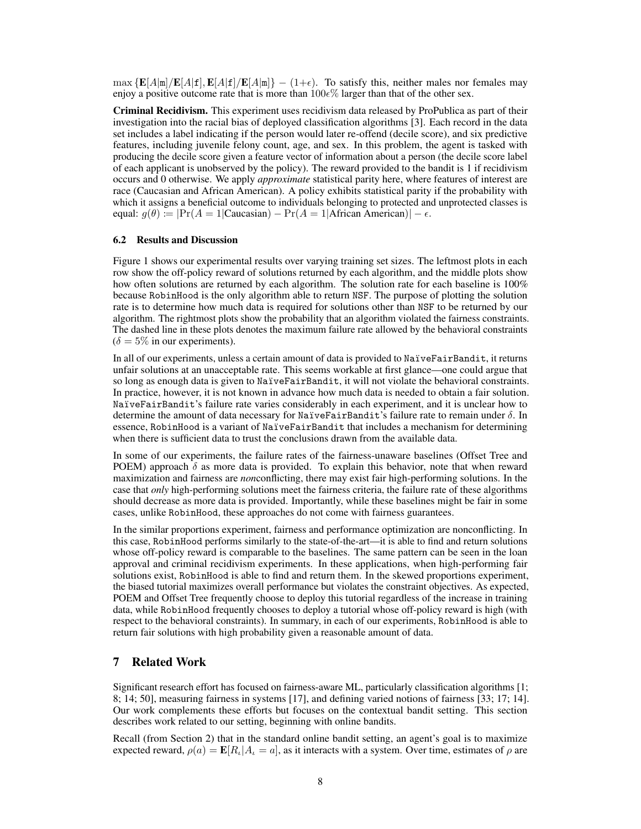$\max \{ \mathbf{E}[A|m]/\mathbf{E}[A|\mathbf{f}], \mathbf{E}[A|\mathbf{f}]/\mathbf{E}[A|m] \} - (1+\epsilon)$ . To satisfy this, neither males nor females may enjoy a positive outcome rate that is more than  $100\epsilon\%$  larger than that of the other sex.

Criminal Recidivism. This experiment uses recidivism data released by ProPublica as part of their investigation into the racial bias of deployed classification algorithms [3]. Each record in the data set includes a label indicating if the person would later re-offend (decile score), and six predictive features, including juvenile felony count, age, and sex. In this problem, the agent is tasked with producing the decile score given a feature vector of information about a person (the decile score label of each applicant is unobserved by the policy). The reward provided to the bandit is 1 if recidivism occurs and 0 otherwise. We apply *approximate* statistical parity here, where features of interest are race (Caucasian and African American). A policy exhibits statistical parity if the probability with which it assigns a beneficial outcome to individuals belonging to protected and unprotected classes is equal:  $g(\theta) \coloneqq |\Pr(A = 1|\text{Caucasian}) - \Pr(A = 1|\text{African American})| - \epsilon.$ 

#### 6.2 Results and Discussion

Figure 1 shows our experimental results over varying training set sizes. The leftmost plots in each row show the off-policy reward of solutions returned by each algorithm, and the middle plots show how often solutions are returned by each algorithm. The solution rate for each baseline is  $100\%$ because RobinHood is the only algorithm able to return NSF. The purpose of plotting the solution rate is to determine how much data is required for solutions other than NSF to be returned by our algorithm. The rightmost plots show the probability that an algorithm violated the fairness constraints. The dashed line in these plots denotes the maximum failure rate allowed by the behavioral constraints  $(\delta = 5\%$  in our experiments).

In all of our experiments, unless a certain amount of data is provided to NaïveFairBandit, it returns unfair solutions at an unacceptable rate. This seems workable at first glance—one could argue that so long as enough data is given to NaïveFairBandit, it will not violate the behavioral constraints. In practice, however, it is not known in advance how much data is needed to obtain a fair solution. NaïveFairBandit's failure rate varies considerably in each experiment, and it is unclear how to determine the amount of data necessary for NaïveFairBandit's failure rate to remain under  $\delta$ . In essence, RobinHood is a variant of NaïveFairBandit that includes a mechanism for determining when there is sufficient data to trust the conclusions drawn from the available data.

In some of our experiments, the failure rates of the fairness-unaware baselines (Offset Tree and POEM) approach  $\delta$  as more data is provided. To explain this behavior, note that when reward maximization and fairness are *non*conflicting, there may exist fair high-performing solutions. In the case that *only* high-performing solutions meet the fairness criteria, the failure rate of these algorithms should decrease as more data is provided. Importantly, while these baselines might be fair in some cases, unlike RobinHood, these approaches do not come with fairness guarantees.

In the similar proportions experiment, fairness and performance optimization are nonconflicting. In this case, RobinHood performs similarly to the state-of-the-art—it is able to find and return solutions whose off-policy reward is comparable to the baselines. The same pattern can be seen in the loan approval and criminal recidivism experiments. In these applications, when high-performing fair solutions exist, RobinHood is able to find and return them. In the skewed proportions experiment, the biased tutorial maximizes overall performance but violates the constraint objectives. As expected, POEM and Offset Tree frequently choose to deploy this tutorial regardless of the increase in training data, while RobinHood frequently chooses to deploy a tutorial whose off-policy reward is high (with respect to the behavioral constraints). In summary, in each of our experiments, RobinHood is able to return fair solutions with high probability given a reasonable amount of data.

# 7 Related Work

Significant research effort has focused on fairness-aware ML, particularly classification algorithms [1; 8; 14; 50], measuring fairness in systems [17], and defining varied notions of fairness [33; 17; 14]. Our work complements these efforts but focuses on the contextual bandit setting. This section describes work related to our setting, beginning with online bandits.

Recall (from Section 2) that in the standard online bandit setting, an agent's goal is to maximize expected reward,  $\rho(a) = \mathbf{E}[R_t | A_t = a]$ , as it interacts with a system. Over time, estimates of  $\rho$  are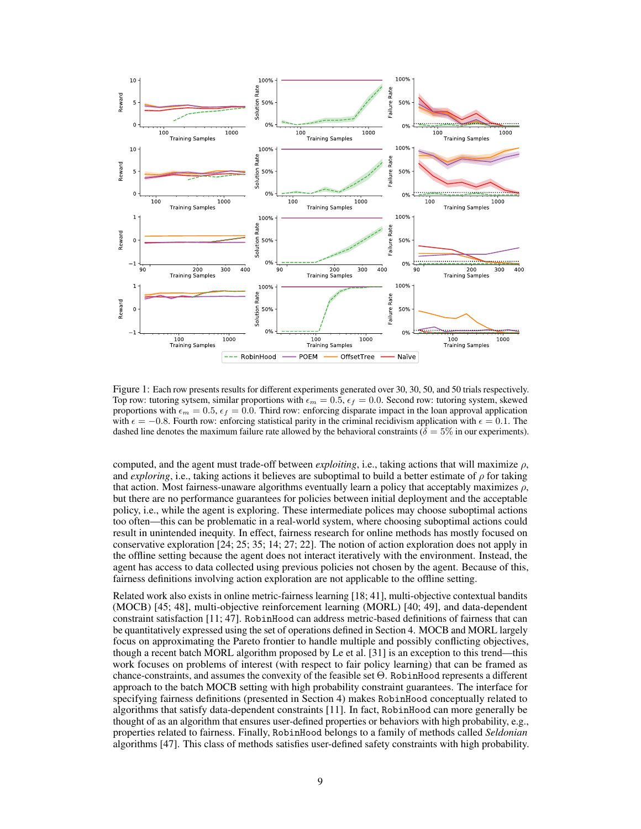

Figure 1: Each row presents results for different experiments generated over 30, 30, 50, and 50 trials respectively. Top row: tutoring sytsem, similar proportions with  $\epsilon_m = 0.5$ ,  $\epsilon_f = 0.0$ . Second row: tutoring system, skewed proportions with  $\epsilon_m = 0.5$ ,  $\epsilon_f = 0.0$ . Third row: enforcing disparate impact in the loan approval application with  $\epsilon = -0.8$ . Fourth row: enforcing statistical parity in the criminal recidivism application with  $\epsilon = 0.1$ . The dashed line denotes the maximum failure rate allowed by the behavioral constraints ( $\delta = 5\%$  in our experiments).

computed, and the agent must trade-off between *exploiting*, i.e., taking actions that will maximize  $\rho$ , and *exploring*, i.e., taking actions it believes are suboptimal to build a better estimate of  $\rho$  for taking that action. Most fairness-unaware algorithms eventually learn a policy that acceptably maximizes  $\rho$ , but there are no performance guarantees for policies between initial deployment and the acceptable policy, i.e., while the agent is exploring. These intermediate polices may choose suboptimal actions too often—this can be problematic in a real-world system, where choosing suboptimal actions could result in unintended inequity. In effect, fairness research for online methods has mostly focused on conservative exploration [24; 25; 35; 14; 27; 22]. The notion of action exploration does not apply in the offline setting because the agent does not interact iteratively with the environment. Instead, the agent has access to data collected using previous policies not chosen by the agent. Because of this, fairness definitions involving action exploration are not applicable to the offline setting.

Related work also exists in online metric-fairness learning [18; 41], multi-objective contextual bandits (MOCB) [45; 48], multi-objective reinforcement learning (MORL) [40; 49], and data-dependent constraint satisfaction [11; 47]. RobinHood can address metric-based definitions of fairness that can be quantitatively expressed using the set of operations defined in Section 4. MOCB and MORL largely focus on approximating the Pareto frontier to handle multiple and possibly conflicting objectives, though a recent batch MORL algorithm proposed by Le et al. [31] is an exception to this trend—this work focuses on problems of interest (with respect to fair policy learning) that can be framed as chance-constraints, and assumes the convexity of the feasible set  $\Theta$ . RobinHood represents a different approach to the batch MOCB setting with high probability constraint guarantees. The interface for specifying fairness definitions (presented in Section 4) makes RobinHood conceptually related to algorithms that satisfy data-dependent constraints [11]. In fact, RobinHood can more generally be thought of as an algorithm that ensures user-defined properties or behaviors with high probability, e.g., properties related to fairness. Finally, RobinHood belongs to a family of methods called *Seldonian* algorithms [47]. This class of methods satisfies user-defined safety constraints with high probability.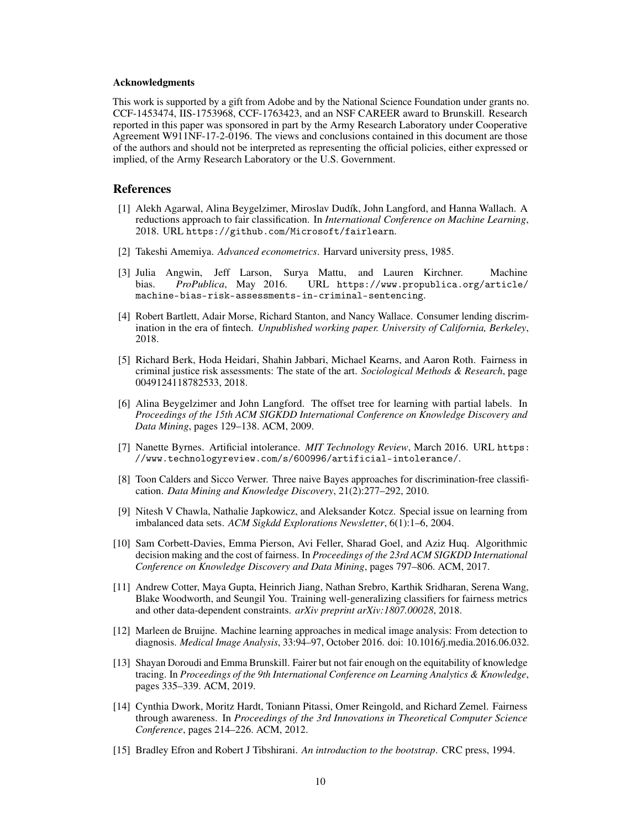#### Acknowledgments

This work is supported by a gift from Adobe and by the National Science Foundation under grants no. CCF-1453474, IIS-1753968, CCF-1763423, and an NSF CAREER award to Brunskill. Research reported in this paper was sponsored in part by the Army Research Laboratory under Cooperative Agreement W911NF-17-2-0196. The views and conclusions contained in this document are those of the authors and should not be interpreted as representing the official policies, either expressed or implied, of the Army Research Laboratory or the U.S. Government.

# References

- [1] Alekh Agarwal, Alina Beygelzimer, Miroslav Dudík, John Langford, and Hanna Wallach. A reductions approach to fair classification. In *International Conference on Machine Learning*, 2018. URL https://github.com/Microsoft/fairlearn.
- [2] Takeshi Amemiya. *Advanced econometrics*. Harvard university press, 1985.
- [3] Julia Angwin, Jeff Larson, Surya Mattu, and Lauren Kirchner. Machine bias. *ProPublica*, May 2016. URL https://www.propublica.org/article/ machine-bias-risk-assessments-in-criminal-sentencing.
- [4] Robert Bartlett, Adair Morse, Richard Stanton, and Nancy Wallace. Consumer lending discrimination in the era of fintech. *Unpublished working paper. University of California, Berkeley*, 2018.
- [5] Richard Berk, Hoda Heidari, Shahin Jabbari, Michael Kearns, and Aaron Roth. Fairness in criminal justice risk assessments: The state of the art. *Sociological Methods & Research*, page 0049124118782533, 2018.
- [6] Alina Beygelzimer and John Langford. The offset tree for learning with partial labels. In *Proceedings of the 15th ACM SIGKDD International Conference on Knowledge Discovery and Data Mining*, pages 129–138. ACM, 2009.
- [7] Nanette Byrnes. Artificial intolerance. *MIT Technology Review*, March 2016. URL https: //www.technologyreview.com/s/600996/artificial-intolerance/.
- [8] Toon Calders and Sicco Verwer. Three naive Bayes approaches for discrimination-free classification. *Data Mining and Knowledge Discovery*, 21(2):277–292, 2010.
- [9] Nitesh V Chawla, Nathalie Japkowicz, and Aleksander Kotcz. Special issue on learning from imbalanced data sets. *ACM Sigkdd Explorations Newsletter*, 6(1):1–6, 2004.
- [10] Sam Corbett-Davies, Emma Pierson, Avi Feller, Sharad Goel, and Aziz Huq. Algorithmic decision making and the cost of fairness. In *Proceedings of the 23rd ACM SIGKDD International Conference on Knowledge Discovery and Data Mining*, pages 797–806. ACM, 2017.
- [11] Andrew Cotter, Maya Gupta, Heinrich Jiang, Nathan Srebro, Karthik Sridharan, Serena Wang, Blake Woodworth, and Seungil You. Training well-generalizing classifiers for fairness metrics and other data-dependent constraints. *arXiv preprint arXiv:1807.00028*, 2018.
- [12] Marleen de Bruijne. Machine learning approaches in medical image analysis: From detection to diagnosis. *Medical Image Analysis*, 33:94–97, October 2016. doi: 10.1016/j.media.2016.06.032.
- [13] Shayan Doroudi and Emma Brunskill. Fairer but not fair enough on the equitability of knowledge tracing. In *Proceedings of the 9th International Conference on Learning Analytics & Knowledge*, pages 335–339. ACM, 2019.
- [14] Cynthia Dwork, Moritz Hardt, Toniann Pitassi, Omer Reingold, and Richard Zemel. Fairness through awareness. In *Proceedings of the 3rd Innovations in Theoretical Computer Science Conference*, pages 214–226. ACM, 2012.
- [15] Bradley Efron and Robert J Tibshirani. *An introduction to the bootstrap*. CRC press, 1994.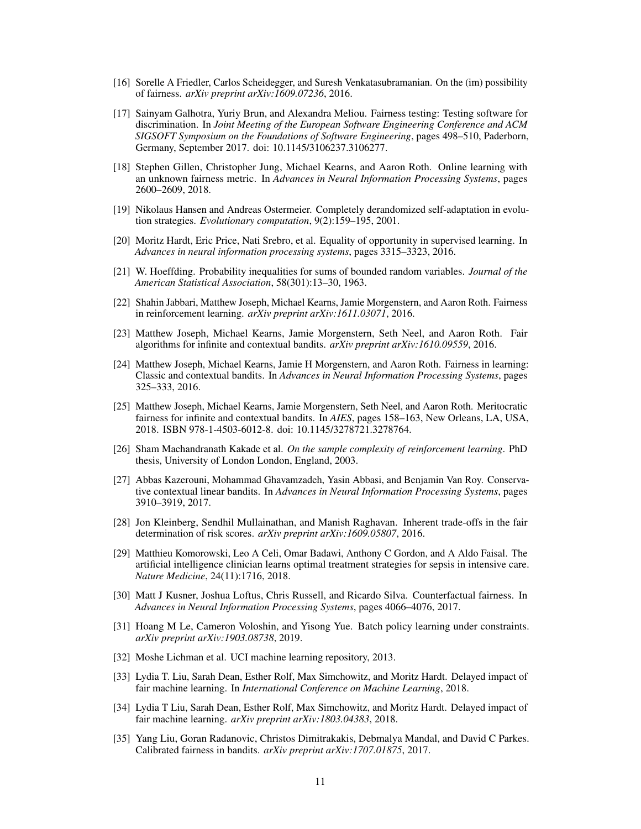- [16] Sorelle A Friedler, Carlos Scheidegger, and Suresh Venkatasubramanian. On the (im) possibility of fairness. *arXiv preprint arXiv:1609.07236*, 2016.
- [17] Sainyam Galhotra, Yuriy Brun, and Alexandra Meliou. Fairness testing: Testing software for discrimination. In *Joint Meeting of the European Software Engineering Conference and ACM SIGSOFT Symposium on the Foundations of Software Engineering*, pages 498–510, Paderborn, Germany, September 2017. doi: 10.1145/3106237.3106277.
- [18] Stephen Gillen, Christopher Jung, Michael Kearns, and Aaron Roth. Online learning with an unknown fairness metric. In *Advances in Neural Information Processing Systems*, pages 2600–2609, 2018.
- [19] Nikolaus Hansen and Andreas Ostermeier. Completely derandomized self-adaptation in evolution strategies. *Evolutionary computation*, 9(2):159–195, 2001.
- [20] Moritz Hardt, Eric Price, Nati Srebro, et al. Equality of opportunity in supervised learning. In *Advances in neural information processing systems*, pages 3315–3323, 2016.
- [21] W. Hoeffding. Probability inequalities for sums of bounded random variables. *Journal of the American Statistical Association*, 58(301):13–30, 1963.
- [22] Shahin Jabbari, Matthew Joseph, Michael Kearns, Jamie Morgenstern, and Aaron Roth. Fairness in reinforcement learning. *arXiv preprint arXiv:1611.03071*, 2016.
- [23] Matthew Joseph, Michael Kearns, Jamie Morgenstern, Seth Neel, and Aaron Roth. Fair algorithms for infinite and contextual bandits. *arXiv preprint arXiv:1610.09559*, 2016.
- [24] Matthew Joseph, Michael Kearns, Jamie H Morgenstern, and Aaron Roth. Fairness in learning: Classic and contextual bandits. In *Advances in Neural Information Processing Systems*, pages 325–333, 2016.
- [25] Matthew Joseph, Michael Kearns, Jamie Morgenstern, Seth Neel, and Aaron Roth. Meritocratic fairness for infinite and contextual bandits. In *AIES*, pages 158–163, New Orleans, LA, USA, 2018. ISBN 978-1-4503-6012-8. doi: 10.1145/3278721.3278764.
- [26] Sham Machandranath Kakade et al. *On the sample complexity of reinforcement learning*. PhD thesis, University of London London, England, 2003.
- [27] Abbas Kazerouni, Mohammad Ghavamzadeh, Yasin Abbasi, and Benjamin Van Roy. Conservative contextual linear bandits. In *Advances in Neural Information Processing Systems*, pages 3910–3919, 2017.
- [28] Jon Kleinberg, Sendhil Mullainathan, and Manish Raghavan. Inherent trade-offs in the fair determination of risk scores. *arXiv preprint arXiv:1609.05807*, 2016.
- [29] Matthieu Komorowski, Leo A Celi, Omar Badawi, Anthony C Gordon, and A Aldo Faisal. The artificial intelligence clinician learns optimal treatment strategies for sepsis in intensive care. *Nature Medicine*, 24(11):1716, 2018.
- [30] Matt J Kusner, Joshua Loftus, Chris Russell, and Ricardo Silva. Counterfactual fairness. In *Advances in Neural Information Processing Systems*, pages 4066–4076, 2017.
- [31] Hoang M Le, Cameron Voloshin, and Yisong Yue. Batch policy learning under constraints. *arXiv preprint arXiv:1903.08738*, 2019.
- [32] Moshe Lichman et al. UCI machine learning repository, 2013.
- [33] Lydia T. Liu, Sarah Dean, Esther Rolf, Max Simchowitz, and Moritz Hardt. Delayed impact of fair machine learning. In *International Conference on Machine Learning*, 2018.
- [34] Lydia T Liu, Sarah Dean, Esther Rolf, Max Simchowitz, and Moritz Hardt. Delayed impact of fair machine learning. *arXiv preprint arXiv:1803.04383*, 2018.
- [35] Yang Liu, Goran Radanovic, Christos Dimitrakakis, Debmalya Mandal, and David C Parkes. Calibrated fairness in bandits. *arXiv preprint arXiv:1707.01875*, 2017.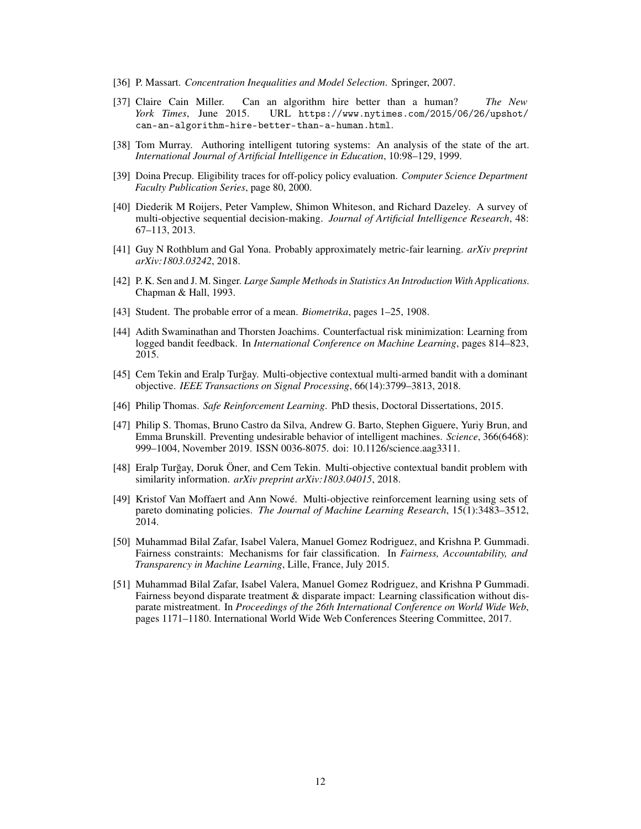- [36] P. Massart. *Concentration Inequalities and Model Selection*. Springer, 2007.
- [37] Claire Cain Miller. Can an algorithm hire better than a human? *The New York Times*, June 2015. URL https://www.nytimes.com/2015/06/26/upshot/ can-an-algorithm-hire-better-than-a-human.html.
- [38] Tom Murray. Authoring intelligent tutoring systems: An analysis of the state of the art. *International Journal of Artificial Intelligence in Education*, 10:98–129, 1999.
- [39] Doina Precup. Eligibility traces for off-policy policy evaluation. *Computer Science Department Faculty Publication Series*, page 80, 2000.
- [40] Diederik M Roijers, Peter Vamplew, Shimon Whiteson, and Richard Dazeley. A survey of multi-objective sequential decision-making. *Journal of Artificial Intelligence Research*, 48: 67–113, 2013.
- [41] Guy N Rothblum and Gal Yona. Probably approximately metric-fair learning. *arXiv preprint arXiv:1803.03242*, 2018.
- [42] P. K. Sen and J. M. Singer. *Large Sample Methods in Statistics An Introduction With Applications*. Chapman & Hall, 1993.
- [43] Student. The probable error of a mean. *Biometrika*, pages 1–25, 1908.
- [44] Adith Swaminathan and Thorsten Joachims. Counterfactual risk minimization: Learning from logged bandit feedback. In *International Conference on Machine Learning*, pages 814–823, 2015.
- [45] Cem Tekin and Eralp Turgay. Multi-objective contextual multi-armed bandit with a dominant ˘ objective. *IEEE Transactions on Signal Processing*, 66(14):3799–3813, 2018.
- [46] Philip Thomas. *Safe Reinforcement Learning*. PhD thesis, Doctoral Dissertations, 2015.
- [47] Philip S. Thomas, Bruno Castro da Silva, Andrew G. Barto, Stephen Giguere, Yuriy Brun, and Emma Brunskill. Preventing undesirable behavior of intelligent machines. *Science*, 366(6468): 999–1004, November 2019. ISSN 0036-8075. doi: 10.1126/science.aag3311.
- [48] Eralp Turgay, Doruk Öner, and Cem Tekin. Multi-objective contextual bandit problem with ˘ similarity information. *arXiv preprint arXiv:1803.04015*, 2018.
- [49] Kristof Van Moffaert and Ann Nowé. Multi-objective reinforcement learning using sets of pareto dominating policies. *The Journal of Machine Learning Research*, 15(1):3483–3512, 2014.
- [50] Muhammad Bilal Zafar, Isabel Valera, Manuel Gomez Rodriguez, and Krishna P. Gummadi. Fairness constraints: Mechanisms for fair classification. In *Fairness, Accountability, and Transparency in Machine Learning*, Lille, France, July 2015.
- [51] Muhammad Bilal Zafar, Isabel Valera, Manuel Gomez Rodriguez, and Krishna P Gummadi. Fairness beyond disparate treatment & disparate impact: Learning classification without disparate mistreatment. In *Proceedings of the 26th International Conference on World Wide Web*, pages 1171–1180. International World Wide Web Conferences Steering Committee, 2017.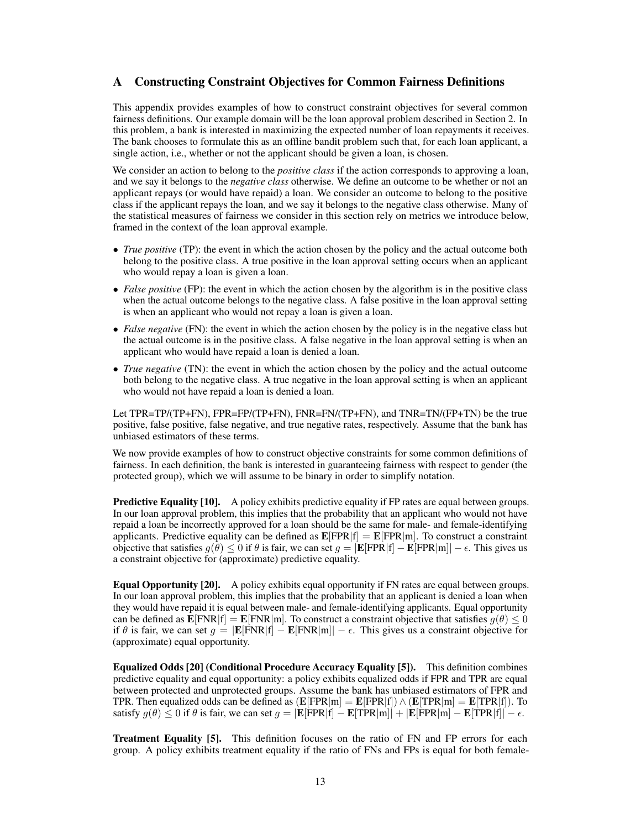# A Constructing Constraint Objectives for Common Fairness Definitions

This appendix provides examples of how to construct constraint objectives for several common fairness definitions. Our example domain will be the loan approval problem described in Section 2. In this problem, a bank is interested in maximizing the expected number of loan repayments it receives. The bank chooses to formulate this as an offline bandit problem such that, for each loan applicant, a single action, i.e., whether or not the applicant should be given a loan, is chosen.

We consider an action to belong to the *positive class* if the action corresponds to approving a loan, and we say it belongs to the *negative class* otherwise. We define an outcome to be whether or not an applicant repays (or would have repaid) a loan. We consider an outcome to belong to the positive class if the applicant repays the loan, and we say it belongs to the negative class otherwise. Many of the statistical measures of fairness we consider in this section rely on metrics we introduce below, framed in the context of the loan approval example.

- *True positive* (TP): the event in which the action chosen by the policy and the actual outcome both belong to the positive class. A true positive in the loan approval setting occurs when an applicant who would repay a loan is given a loan.
- *False positive* (FP): the event in which the action chosen by the algorithm is in the positive class when the actual outcome belongs to the negative class. A false positive in the loan approval setting is when an applicant who would not repay a loan is given a loan.
- *False negative* (FN): the event in which the action chosen by the policy is in the negative class but the actual outcome is in the positive class. A false negative in the loan approval setting is when an applicant who would have repaid a loan is denied a loan.
- *True negative* (TN): the event in which the action chosen by the policy and the actual outcome both belong to the negative class. A true negative in the loan approval setting is when an applicant who would not have repaid a loan is denied a loan.

Let TPR=TP/(TP+FN), FPR=FP/(TP+FN), FNR=FN/(TP+FN), and TNR=TN/(FP+TN) be the true positive, false positive, false negative, and true negative rates, respectively. Assume that the bank has unbiased estimators of these terms.

We now provide examples of how to construct objective constraints for some common definitions of fairness. In each definition, the bank is interested in guaranteeing fairness with respect to gender (the protected group), which we will assume to be binary in order to simplify notation.

**Predictive Equality [10].** A policy exhibits predictive equality if FP rates are equal between groups. In our loan approval problem, this implies that the probability that an applicant who would not have repaid a loan be incorrectly approved for a loan should be the same for male- and female-identifying applicants. Predictive equality can be defined as  $\mathbf{E}[\text{FPR}|f] = \mathbf{E}[\text{FPR}|m]$ . To construct a constraint objective that satisfies  $g(\theta) \le 0$  if  $\theta$  is fair, we can set  $g = |E[FPR|f] - E[FPR|m]| - \epsilon$ . This gives us a constraint objective for (approximate) predictive equality.

Equal Opportunity [20]. A policy exhibits equal opportunity if FN rates are equal between groups. In our loan approval problem, this implies that the probability that an applicant is denied a loan when they would have repaid it is equal between male- and female-identifying applicants. Equal opportunity can be defined as  $\mathbf{E}[\text{FNR}|f] = \mathbf{E}[\text{FNR}|m]$ . To construct a constraint objective that satisfies  $g(\theta) \leq 0$ if  $\theta$  is fair, we can set  $g = |E[\text{FNR}|f] - E[\text{FNR}|m]| - \epsilon$ . This gives us a constraint objective for (approximate) equal opportunity.

Equalized Odds [20] (Conditional Procedure Accuracy Equality [5]). This definition combines predictive equality and equal opportunity: a policy exhibits equalized odds if FPR and TPR are equal between protected and unprotected groups. Assume the bank has unbiased estimators of FPR and TPR. Then equalized odds can be defined as  $(\mathbf{E}[\text{FPR}|\mathbf{m}] = \mathbf{E}[\text{FPR}|\mathbf{f}]) \wedge (\mathbf{E}[\text{TPR}|\mathbf{m}] = \mathbf{E}[\text{TPR}|\mathbf{f}]).$  To satisfy  $g(\theta) \le 0$  if  $\theta$  is fair, we can set  $g = |\mathbf{E}[\text{FPR}[f] - \mathbf{E}[\text{TPR}[m]] + |\mathbf{E}[\text{FPR}[m] - \mathbf{E}[\text{TPR}[f]] - \epsilon$ .

Treatment Equality [5]. This definition focuses on the ratio of FN and FP errors for each group. A policy exhibits treatment equality if the ratio of FNs and FPs is equal for both female-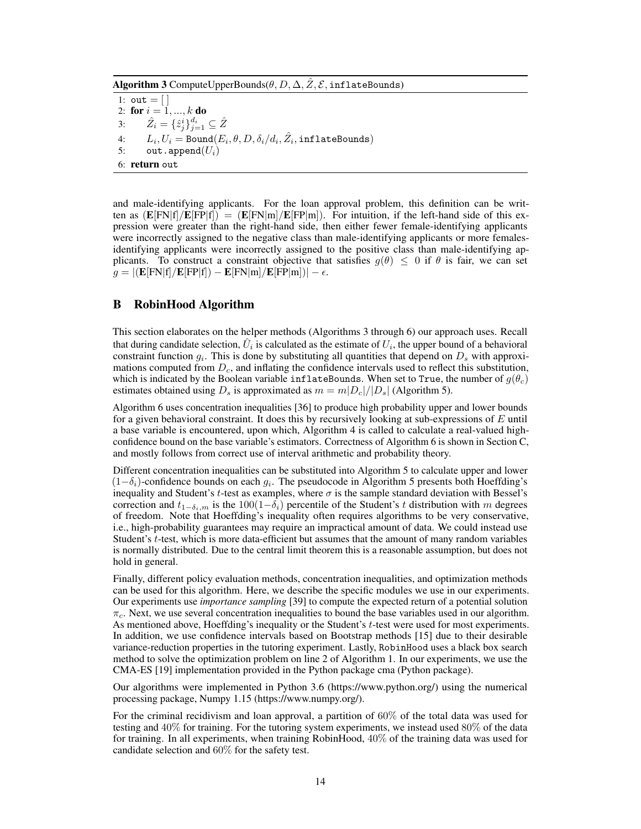Algorithm 3 ComputeUpperBounds $(\theta, D, \Delta, \hat{Z}, \mathcal{E}, \text{inflateBounds})$ 

1:  $out = []$ 2: for  $i = 1, ..., k$  do 3:  $\hat{Z}_i = \{\hat{z}_j^i\}_{j=1}^{d_i} \subseteq \hat{Z}$ 4:  $L_i, U_i = \text{Bound}(E_i, \theta, D, \delta_i/d_i, \hat{Z}_i, \text{inflateBounds})$ 5: out.append $(U_i)$ 6: return out

and male-identifying applicants. For the loan approval problem, this definition can be written as  $(E[FN|f]/E[FP|f]) = (E[FN|m]/E[FP|m])$ . For intuition, if the left-hand side of this expression were greater than the right-hand side, then either fewer female-identifying applicants were incorrectly assigned to the negative class than male-identifying applicants or more femalesidentifying applicants were incorrectly assigned to the positive class than male-identifying applicants. To construct a constraint objective that satisfies  $g(\theta) \leq 0$  if  $\theta$  is fair, we can set  $g = |(E[FN|f]/E[FP|f]) - E[FN|m]/E[FP|m])| - \epsilon.$ 

## B RobinHood Algorithm

This section elaborates on the helper methods (Algorithms 3 through 6) our approach uses. Recall that during candidate selection,  $\hat{U}_i$  is calculated as the estimate of  $U_i$ , the upper bound of a behavioral constraint function  $g_i$ . This is done by substituting all quantities that depend on  $D_s$  with approximations computed from *Dc*, and inflating the confidence intervals used to reflect this substitution, which is indicated by the Boolean variable inflateBounds. When set to True, the number of  $g(\theta_c)$ estimates obtained using  $D_s$  is approximated as  $m = m|D_c|/|D_s|$  (Algorithm 5).

Algorithm 6 uses concentration inequalities [36] to produce high probability upper and lower bounds for a given behavioral constraint. It does this by recursively looking at sub-expressions of *E* until a base variable is encountered, upon which, Algorithm 4 is called to calculate a real-valued highconfidence bound on the base variable's estimators. Correctness of Algorithm 6 is shown in Section C, and mostly follows from correct use of interval arithmetic and probability theory.

Different concentration inequalities can be substituted into Algorithm 5 to calculate upper and lower  $(1-\delta_i)$ -confidence bounds on each  $g_i$ . The pseudocode in Algorithm 5 presents both Hoeffding's inequality and Student's *t*-test as examples, where  $\sigma$  is the sample standard deviation with Bessel's correction and  $t_{1-\delta_i,m}$  is the 100(1- $\delta_i$ ) percentile of the Student's *t* distribution with *m* degrees of freedom. Note that Hoeffding's inequality often requires algorithms to be very conservative, i.e., high-probability guarantees may require an impractical amount of data. We could instead use Student's *t*-test, which is more data-efficient but assumes that the amount of many random variables is normally distributed. Due to the central limit theorem this is a reasonable assumption, but does not hold in general.

Finally, different policy evaluation methods, concentration inequalities, and optimization methods can be used for this algorithm. Here, we describe the specific modules we use in our experiments. Our experiments use *importance sampling* [39] to compute the expected return of a potential solution  $\pi_c$ . Next, we use several concentration inequalities to bound the base variables used in our algorithm. As mentioned above, Hoeffding's inequality or the Student's *t*-test were used for most experiments. In addition, we use confidence intervals based on Bootstrap methods [15] due to their desirable variance-reduction properties in the tutoring experiment. Lastly, RobinHood uses a black box search method to solve the optimization problem on line 2 of Algorithm 1. In our experiments, we use the CMA-ES [19] implementation provided in the Python package cma (Python package).

Our algorithms were implemented in Python 3.6 (https://www.python.org/) using the numerical processing package, Numpy 1.15 (https://www.numpy.org/).

For the criminal recidivism and loan approval, a partition of  $60\%$  of the total data was used for testing and 40% for training. For the tutoring system experiments, we instead used 80% of the data for training. In all experiments, when training RobinHood, 40% of the training data was used for candidate selection and 60% for the safety test.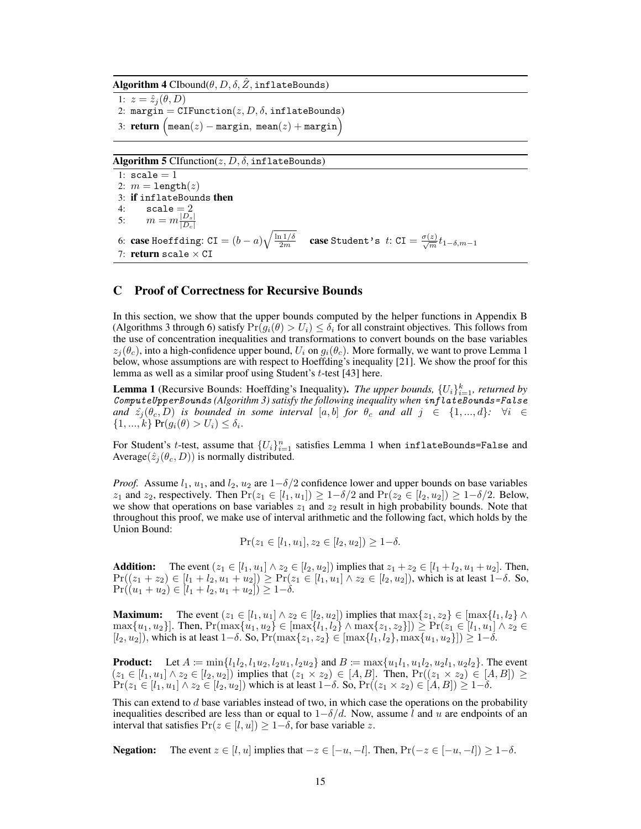Algorithm 4  $C$ Ibound $(\theta, D, \delta, \hat{Z}, \texttt{inflateBounds})$ 

1:  $z = \hat{z}_i(\theta, D)$ 2: margin =  $CIFunction(z, D, \delta, inflateBounds)$ 3: **return**  $\left(\text{mean}(z) - \text{margin}, \text{mean}(z) + \text{margin}\right)$ 

Algorithm 5 CIfunction $(z, D, \delta, \text{inflates}$ 

1:  $scale = 1$ 2:  $m = \text{length}(z)$ 3: if inflateBounds then 4:  $scale = 2$ 5:  $m = m \frac{|D_s|}{|D_c|}$ 6: **case** Hoeffding:  $\text{CI} = (b - a) \sqrt{\frac{\ln 1/\delta}{2m}}$  **case** Student's  $t$ :  $\text{CI} = \frac{\sigma(z)}{\sqrt{m}} t_{1-\delta, m-1}$ 7: return scale  $\times$  CI

## C Proof of Correctness for Recursive Bounds

In this section, we show that the upper bounds computed by the helper functions in Appendix B (Algorithms 3 through 6) satisfy  $Pr(g_i(\theta) > U_i) \leq \delta_i$  for all constraint objectives. This follows from the use of concentration inequalities and transformations to convert bounds on the base variables  $z_j(\theta_c)$ , into a high-confidence upper bound,  $U_i$  on  $g_i(\theta_c)$ . More formally, we want to prove Lemma 1 below, whose assumptions are with respect to Hoeffding's inequality [21]. We show the proof for this lemma as well as a similar proof using Student's *t*-test [43] here.

**Lemma 1** (Recursive Bounds: Hoeffding's Inequality). *The upper bounds*,  $\{U_i\}_{i=1}^k$ , returned by *ComputeUpperBounds (Algorithm 3) satisfy the following inequality when inflateBounds=False and*  $\hat{z}_j(\theta_c, D)$  *is bounded in some interval* [*a, b*] *for*  $\theta_c$  *and all*  $j \in \{1, ..., d\}$ *:*  $\forall i \in$  $\{1, ..., k\}$   $Pr(g_i(\theta) > U_i) \leq \delta_i$ .

For Student's *t*-test, assume that  $\{U_i\}_{i=1}^n$  satisfies Lemma 1 when inflateBounds=False and Average( $\hat{z}_i(\theta_c, D)$ ) is normally distributed.

*Proof.* Assume  $l_1$ ,  $u_1$ , and  $l_2$ ,  $u_2$  are  $1-\delta/2$  confidence lower and upper bounds on base variables *z*<sub>1</sub> and *z*<sub>2</sub>, respectively. Then  $Pr(z_1 \in [l_1, u_1]) \geq 1 - \delta/2$  and  $Pr(z_2 \in [l_2, u_2]) \geq 1 - \delta/2$ . Below, we show that operations on base variables  $z_1$  and  $z_2$  result in high probability bounds. Note that throughout this proof, we make use of interval arithmetic and the following fact, which holds by the Union Bound:

 $Pr(z_1 \in [l_1, u_1], z_2 \in [l_2, u_2]) > 1 - \delta.$ 

**Addition:** The event  $(z_1 \in [l_1, u_1] \land z_2 \in [l_2, u_2])$  implies that  $z_1 + z_2 \in [l_1 + l_2, u_1 + u_2]$ . Then,  $Pr((z_1 + z_2) \in [l_1 + l_2, u_1 + u_2]) \geq Pr(z_1 \in [l_1, u_1] \wedge z_2 \in [l_2, u_2])$ , which is at least  $1-\delta$ . So,  $Pr((u_1 + u_2) \in [l_1 + l_2, u_1 + u_2]) \geq 1 - \delta.$ 

**Maximum:** The event  $(z_1 \in [l_1, u_1] \land z_2 \in [l_2, u_2])$  implies that  $\max\{z_1, z_2\} \in [\max\{l_1, l_2\} \land$  $\max\{u_1, u_2\}$ . Then,  $\Pr(\max\{u_1, u_2\} \in [\max\{l_1, l_2\} \wedge \max\{z_1, z_2\}]) \ge \Pr(z_1 \in [l_1, u_1] \wedge z_2 \in [l_1, u_2])$  $[l_2, u_2]$ , which is at least  $1-\delta$ . So,  $Pr(max\{z_1, z_2\} \in [max\{l_1, l_2\}, max\{u_1, u_2\}]) \geq 1-\delta$ .

**Product:** Let  $A := \min\{l_1l_2, l_1u_2, l_2u_1, l_2u_2\}$  and  $B := \max\{u_1l_1, u_1l_2, u_2l_1, u_2l_2\}$ . The event  $(z_1 \in [l_1, u_1] \land z_2 \in [l_2, u_2])$  implies that  $(z_1 \times z_2) \in [A, B]$ . Then,  $Pr((z_1 \times z_2) \in [A, B]) \ge$  $Pr(z_1 \in [l_1, u_1] \land z_2 \in [l_2, u_2])$  which is at least  $1-\delta$ . So,  $Pr((z_1 \times z_2) \in [A, B]) \geq 1-\delta$ .

This can extend to *d* base variables instead of two, in which case the operations on the probability inequalities described are less than or equal to  $1-\delta/d$ . Now, assume *l* and *u* are endpoints of an interval that satisfies  $Pr(z \in [l, u]) \geq 1 - \delta$ , for base variable *z*.

**Negation:** The event  $z \in [l, u]$  implies that  $-z \in [-u, -l]$ . Then,  $Pr(-z \in [-u, -l]) \geq 1-\delta$ .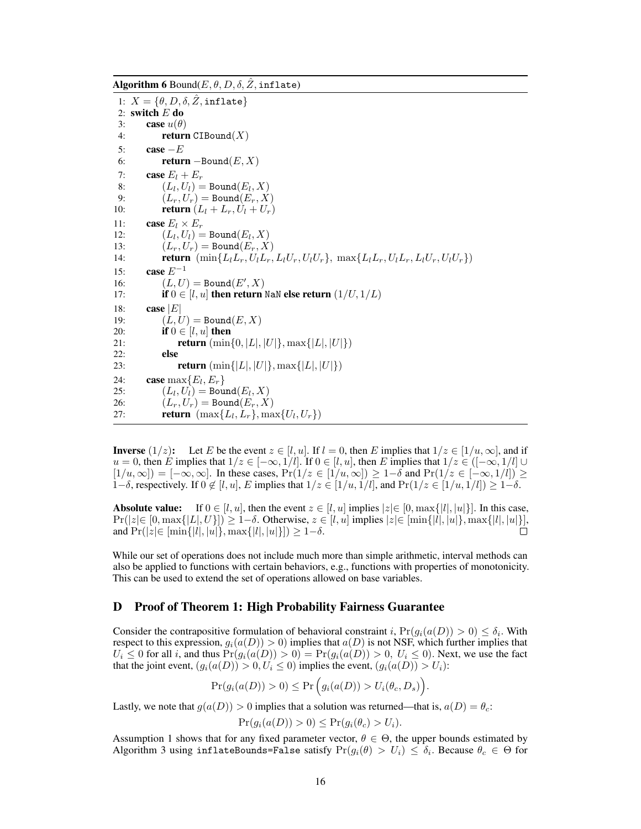Algorithm 6 Bound $(E, \theta, D, \delta, \tilde{Z})$ , inflate)

```
1: X = \{ \theta, D, \delta, Z, \text{inflate} \}2: switch E do
 3: case u(\theta)4: return CIBound(X)
 5: case -E<br>6: return
 6: return -\text{Bound}(E, X)<br>7: case E_i + E_rcase E_l + E_r8: (L_l, U_l) = \text{Bound}(E_l, X)<br>9: (L_r, U_r) = \text{Bound}(E_r, X)(L_r, U_r) = \text{Bound}(E_r, X)10: return (L_l + L_r, U_l + U_r)11: case E_l \times E_r<br>12: (L_l \ L_l) =12: (L_l, U_l) = \text{Bound}(E_l, X)<br>
13: (L_r, U_r) = \text{Bound}(E_r, X)13: (L_r, U_r) = \text{Bound}(E_r, X)<br>14: return (min{L<sub>1</sub>L<sub>r</sub>, U<sub>1</sub>L<sub>r</sub>,
14: return (\min\{L_lL_r, U_lL_r, L_lU_r, U_lU_r\}, \max\{L_lL_r, U_lL_r, L_lU_r, U_lU_r\})<br>15: case E^{-1}case E^{-1}16: (L, U) = \text{Bound}(E', X)17: if 0 \in [l, u] then return NaN else return (1/U, 1/L)18: case |E|<br>19: (L, l)(L, U) = \text{Bound}(E, X)20: if 0 \in [l, u] then<br>21: return (min-
21: return (\min\{0, |L|, |U|\}, \max\{|L|, |U|\})<br>22: else
               else
23: case max{E_l, E_r}<br>24: case max{E_l, E_r}
24: case max{E_l, E_r}<br>25: (L_l, U_l) =Bou
                (L_l, U_l) = \text{Bound}(E_l, X)26: (L_r, U_r) = \text{Bound}(E_r, X)<br>27: return (max{L_l, L_r}, ma
               {\bf return} \, (\max\{L_l, L_r\}, \max\{U_l, U_r\})
```
**Inverse**  $(1/z)$ : Let *E* be the event  $z \in [l, u]$ . If  $l = 0$ , then *E* implies that  $1/z \in [1/u, \infty]$ , and if  $u = 0$ , then *E* implies that  $1/z \in [-\infty, 1/l]$ . If  $0 \in [l, u]$ , then *E* implies that  $1/z \in ([-\infty, 1/l] \cup$  $[1/u, \infty]$  =  $[-\infty, \infty]$ . In these cases,  $Pr(1/z \in [1/u, \infty]) \ge 1-\delta$  and  $Pr(1/z \in [-\infty, 1/l]) \ge$ 1– $\delta$ , respectively. If  $0 \notin [l, u]$ , *E* implies that  $1/z \in [1/u, 1/l]$ , and  $Pr(1/z \in [1/u, 1/l]) \geq 1-\delta$ .

**Absolute value:** If  $0 \in [l, u]$ , then the event  $z \in [l, u]$  implies  $|z| \in [0, \max\{|l|, |u|\}]$ . In this case,  $\Pr(|z| \in [0, \max\{|L|, U\}]) \ge 1 - \delta$ . Otherwise,  $z \in [l, u]$  implies  $|z| \in [\min\{|l|, |u|\}$ ,  $\max\{|l|, |u|\}$ ,  $\max\{|l|, |u|\}$ ,  $\max\{|l|, |u|\}$ ,  $\max\{|l|, |u|\}$ ,  $\max\{|l|, |u|\}$ ,  $\max\{|l|, |u|\}$ ,  $\max\{|l|, |u|\}$ ,  $\max\{|l|, |u|\}$ ,  $\max\{|l|, |u|\}$ ,  $\max\$  $\text{and } \Pr(|z| \in \{\min\{|l|, |u|\}, \max\{|l|, |u|\}\}) \geq 1 - \delta.$ 

While our set of operations does not include much more than simple arithmetic, interval methods can also be applied to functions with certain behaviors, e.g., functions with properties of monotonicity. This can be used to extend the set of operations allowed on base variables.

#### D Proof of Theorem 1: High Probability Fairness Guarantee

Consider the contrapositive formulation of behavioral constraint *i*,  $Pr(g_i(a(D)) > 0) \leq \delta_i$ . With respect to this expression,  $g_i(a(D)) > 0$  implies that  $a(D)$  is not NSF, which further implies that  $U_i \leq 0$  for all *i*, and thus  $Pr(g_i(a(D)) > 0) = Pr(g_i(a(D)) > 0, U_i \leq 0)$ . Next, we use the fact that the joint event,  $(g_i(a(D)) > 0, U_i \le 0)$  implies the event,  $(g_i(a(D)) > U_i)$ :

$$
Pr(g_i(a(D)) > 0) \le Pr(g_i(a(D)) > U_i(\theta_c, D_s)).
$$

Lastly, we note that  $g(a(D)) > 0$  implies that a solution was returned—that is,  $a(D) = \theta_c$ .

$$
\Pr(g_i(a(D)) > 0) \le \Pr(g_i(\theta_c) > U_i).
$$

Assumption 1 shows that for any fixed parameter vector,  $\theta \in \Theta$ , the upper bounds estimated by Algorithm 3 using inflateBounds=False satisfy  $Pr(g_i(\theta) > U_i) \leq \delta_i$ . Because  $\theta_c \in \Theta$  for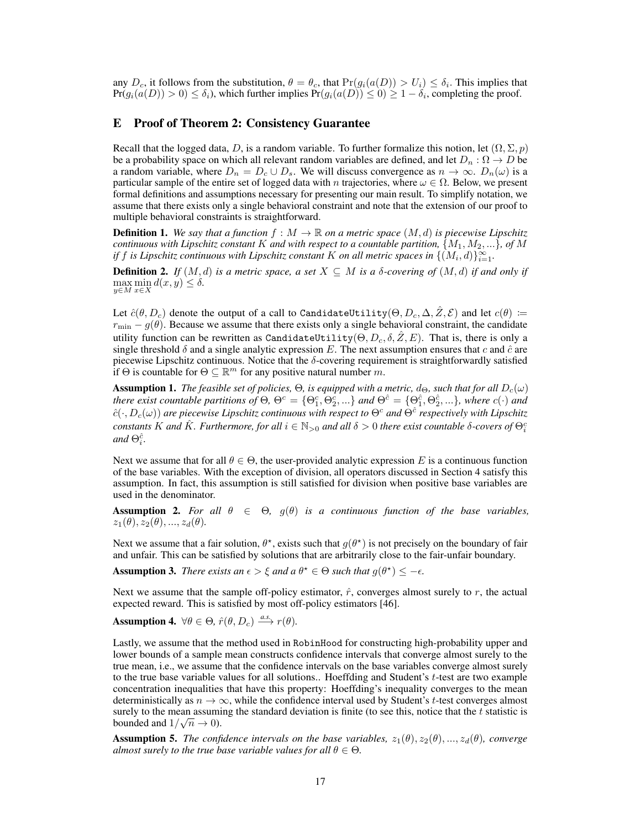any  $D_c$ , it follows from the substitution,  $\theta = \theta_c$ , that  $Pr(g_i(a(D)) > U_i) \leq \delta_i$ . This implies that  $Pr(g_i(a(D)) > 0) \le \delta_i$ , which further implies  $Pr(g_i(a(D)) \le 0) \ge 1 - \delta_i$ , completing the proof.

## E Proof of Theorem 2: Consistency Guarantee

Recall that the logged data, *D*, is a random variable. To further formalize this notion, let  $(\Omega, \Sigma, p)$ be a probability space on which all relevant random variables are defined, and let  $D_n$ :  $\Omega \to D$  be a random variable, where  $D_n = D_c \cup D_s$ . We will discuss convergence as  $n \to \infty$ .  $D_n(\omega)$  is a particular sample of the entire set of logged data with *n* trajectories, where  $\omega \in \Omega$ . Below, we present formal definitions and assumptions necessary for presenting our main result. To simplify notation, we assume that there exists only a single behavioral constraint and note that the extension of our proof to multiple behavioral constraints is straightforward.

**Definition 1.** We say that a function  $f : M \to \mathbb{R}$  on a metric space  $(M, d)$  is piecewise Lipschitz *continuous with Lipschitz constant K and with respect to a countable partition,*  $\{M_1, M_2, ...\}$ *, of M if f is Lipschitz continuous with Lipschitz constant*  $K$  *on all metric spaces in*  $\{(M_i, d)\}_{i=1}^{\infty}$ *.* 

**Definition 2.** If  $(M, d)$  is a metric space, a set  $X \subseteq M$  is a  $\delta$ -covering of  $(M, d)$  if and only if  $\max_{y \in M} \min_{x \in X} d(x, y) \leq \delta.$ 

Let  $\hat{c}(\theta, D_c)$  denote the output of a call to CandidateUtility( $\Theta, D_c, \Delta, \hat{Z}, \mathcal{E}$ ) and let  $c(\theta) :=$  $r_{\text{min}} - g(\theta)$ . Because we assume that there exists only a single behavioral constraint, the candidate utility function can be rewritten as CandidateUtility( $\Theta, D_c, \delta, \hat{Z}, E$ ). That is, there is only a single threshold  $\delta$  and a single analytic expression *E*. The next assumption ensures that *c* and  $\hat{c}$  are piecewise Lipschitz continuous. Notice that the  $\delta$ -covering requirement is straightforwardly satisfied if  $\Theta$  is countable for  $\Theta \subseteq \mathbb{R}^m$  for any positive natural number m.

**Assumption 1.** *The feasible set of policies,*  $\Theta$ *, is equipped with a metric,*  $d_{\Theta}$ *, such that for all*  $D_c(\omega)$ there exist countable partitions of  $\Theta$ ,  $\Theta^c = \{\Theta_1^c, \Theta_2^c,...\}$  and  $\Theta^{\hat{c}} = \{\Theta_1^{\hat{c}}, \Theta_2^{\hat{c}},...\}$ , where  $c(\cdot)$  and  $\hat{c}(\cdot, D_c(\omega))$  are piecewise Lipschitz continuous with respect to  $\Theta^c$  and  $\Theta^{\hat{c}}$  respectively with Lipschitz *constants K* and  $\hat{K}$ . Furthermore, for all  $i \in \mathbb{N}_{>0}$  and all  $\delta > 0$  there exist countable  $\delta$ -covers of  $\Theta_i^c$ and  $\Theta_i^{\hat{c}}$ .

Next we assume that for all  $\theta \in \Theta$ , the user-provided analytic expression *E* is a continuous function of the base variables. With the exception of division, all operators discussed in Section 4 satisfy this assumption. In fact, this assumption is still satisfied for division when positive base variables are used in the denominator.

**Assumption 2.** For all  $\theta \in \Theta$ ,  $g(\theta)$  is a continuous function of the base variables,  $z_1(\theta), z_2(\theta), ..., z_d(\theta)$ .

Next we assume that a fair solution,  $\theta^*$ , exists such that  $q(\theta^*)$  is not precisely on the boundary of fair and unfair. This can be satisfied by solutions that are arbitrarily close to the fair-unfair boundary.

**Assumption 3.** *There exists an*  $\epsilon > \xi$  *and a*  $\theta^* \in \Theta$  *such that*  $g(\theta^*) \leq -\epsilon$ *.* 

Next we assume that the sample off-policy estimator,  $\hat{r}$ , converges almost surely to  $r$ , the actual expected reward. This is satisfied by most off-policy estimators [46].

Assumption 4.  $\forall \theta \in \Theta$ ,  $\hat{r}(\theta, D_c) \stackrel{a.s.}{\longrightarrow} r(\theta)$ .

Lastly, we assume that the method used in RobinHood for constructing high-probability upper and lower bounds of a sample mean constructs confidence intervals that converge almost surely to the true mean, i.e., we assume that the confidence intervals on the base variables converge almost surely to the true base variable values for all solutions.. Hoeffding and Student's *t*-test are two example concentration inequalities that have this property: Hoeffding's inequality converges to the mean deterministically as  $n \to \infty$ , while the confidence interval used by Student's *t*-test converges almost surely to the mean assuming the standard deviation is finite (to see this, notice that the *t* statistic is bounded and  $1/\sqrt{n} \to 0$ ).

**Assumption 5.** The confidence intervals on the base variables,  $z_1(\theta), z_2(\theta), \ldots, z_d(\theta)$ , converge *almost surely to the true base variable values for all*  $\theta \in \Theta$ .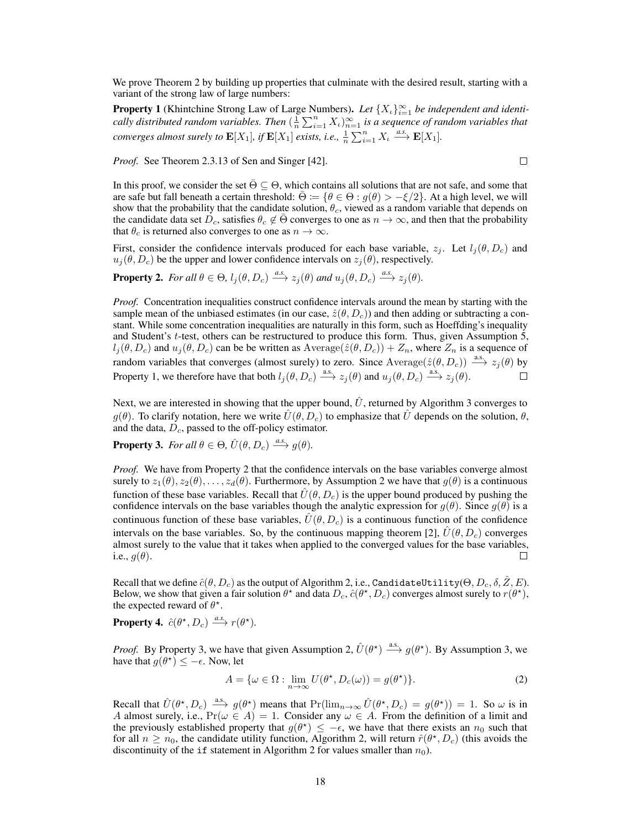We prove Theorem 2 by building up properties that culminate with the desired result, starting with a variant of the strong law of large numbers:

**Property 1** (Khintchine Strong Law of Large Numbers). Let  $\{X_t\}_{t=1}^{\infty}$  be independent and identi*cally distributed random variables. Then*  $(\frac{1}{n}\sum_{i=1}^{n}X_i)_{n=1}^{\infty}$  *is a sequence of random variables that converges almost surely to*  $\mathbf{E}[X_1]$ *, if*  $\mathbf{E}[X_1]$  *exists, i.e.,*  $\frac{1}{n} \sum_{i=1}^n X_i \xrightarrow{a.s.} \mathbf{E}[X_1]$ *.* 

 $\Box$ 

*Proof.* See Theorem 2.3.13 of Sen and Singer [42].

In this proof, we consider the set  $\overline{\Theta} \subseteq \Theta$ , which contains all solutions that are not safe, and some that are safe but fall beneath a certain threshold:  $\bar{\Theta} := \{ \theta \in \Theta : g(\theta) > -\xi/2 \}$ . At a high level, we will show that the probability that the candidate solution,  $\theta_c$ , viewed as a random variable that depends on the candidate data set  $D_c$ , satisfies  $\theta_c \notin \overline{\Theta}$  converges to one as  $n \to \infty$ , and then that the probability that  $\theta_c$  is returned also converges to one as  $n \to \infty$ .

First, consider the confidence intervals produced for each base variable,  $z_j$ . Let  $l_j(\theta, D_c)$  and  $u_j(\theta, D_c)$  be the upper and lower confidence intervals on  $z_j(\theta)$ , respectively.

**Property 2.** For all  $\theta \in \Theta$ ,  $l_j(\theta, D_c) \xrightarrow{a.s.} z_j(\theta)$  and  $u_j(\theta, D_c) \xrightarrow{a.s.} z_j(\theta)$ .

*Proof.* Concentration inequalities construct confidence intervals around the mean by starting with the sample mean of the unbiased estimates (in our case,  $\hat{z}(\theta, D_c)$ ) and then adding or subtracting a constant. While some concentration inequalities are naturally in this form, such as Hoeffding's inequality and Student's *t*-test, others can be restructured to produce this form. Thus, given Assumption 5,  $l_j(\theta, D_c)$  and  $u_j(\theta, D_c)$  can be be written as Average( $\hat{z}(\theta, D_c)$ ) +  $Z_n$ , where  $Z_n$  is a sequence of random variables that converges (almost surely) to zero. Since Average( $\hat{z}(\theta, D_c)$ )  $\xrightarrow{a.s.} z_j(\theta)$  by Property 1, we therefore have that both  $l_j(\theta, D_c) \xrightarrow{a.s.} z_j(\theta)$  and  $u_j(\theta, D_c) \xrightarrow{a.s.} z_j(\theta)$ .

Next, we are interested in showing that the upper bound,  $\hat{U}$ , returned by Algorithm 3 converges to  $g(\theta)$ . To clarify notation, here we write  $\hat{U}(\theta, D_c)$  to emphasize that  $\hat{U}$  depends on the solution,  $\theta$ , and the data, *Dc*, passed to the off-policy estimator.

**Property 3.** For all  $\theta \in \Theta$ ,  $\hat{U}(\theta, D_c) \stackrel{a.s.}{\longrightarrow} g(\theta)$ .

*Proof.* We have from Property 2 that the confidence intervals on the base variables converge almost surely to  $z_1(\theta), z_2(\theta), \ldots, z_d(\theta)$ . Furthermore, by Assumption 2 we have that  $g(\theta)$  is a continuous function of these base variables. Recall that  $\hat{U}(\theta, D_c)$  is the upper bound produced by pushing the confidence intervals on the base variables though the analytic expression for  $g(\theta)$ . Since  $g(\theta)$  is a continuous function of these base variables,  $\hat{U}(\theta, D_c)$  is a continuous function of the confidence intervals on the base variables. So, by the continuous mapping theorem [2],  $\hat{U}(\theta, D_c)$  converges almost surely to the value that it takes when applied to the converged values for the base variables, i.e.,  $q(\theta)$ .  $\Box$ 

Recall that we define  $\hat{c}(\theta, D_c)$  as the output of Algorithm 2, i.e., CandidateUtility( $\Theta, D_c, \delta, \hat{Z}, E$ ). Below, we show that given a fair solution  $\theta^*$  and data  $D_c$ ,  $\hat{c}(\theta^*, D_c)$  converges almost surely to  $r(\theta^*)$ , the expected reward of  $\theta^*$ .

**Property 4.**  $\hat{c}(\theta^*, D_c) \stackrel{a.s.}{\longrightarrow} r(\theta^*).$ 

*Proof.* By Property 3, we have that given Assumption 2,  $\hat{U}(\theta^*) \stackrel{\text{a.s.}}{\longrightarrow} g(\theta^*)$ . By Assumption 3, we have that  $g(\theta^*) \leq -\epsilon$ . Now, let

$$
A = \{ \omega \in \Omega : \lim_{n \to \infty} U(\theta^*, D_c(\omega)) = g(\theta^*) \}. \tag{2}
$$

Recall that  $\hat{U}(\theta^*, D_c) \xrightarrow{a.s.} g(\theta^*)$  means that  $Pr(\lim_{n\to\infty} \hat{U}(\theta^*, D_c) = g(\theta^*)) = 1$ . So  $\omega$  is in *A* almost surely, i.e.,  $Pr(\omega \in A) = 1$ . Consider any  $\omega \in A$ . From the definition of a limit and the previously established property that  $g(\theta^*) \leq -\epsilon$ , we have that there exists an  $n_0$  such that for all  $n \ge n_0$ , the candidate utility function, Algorithm 2, will return  $\hat{r}(\theta^*, D_c)$  (this avoids the discontinuity of the if statement in Algorithm 2 for values smaller than  $n_0$ ).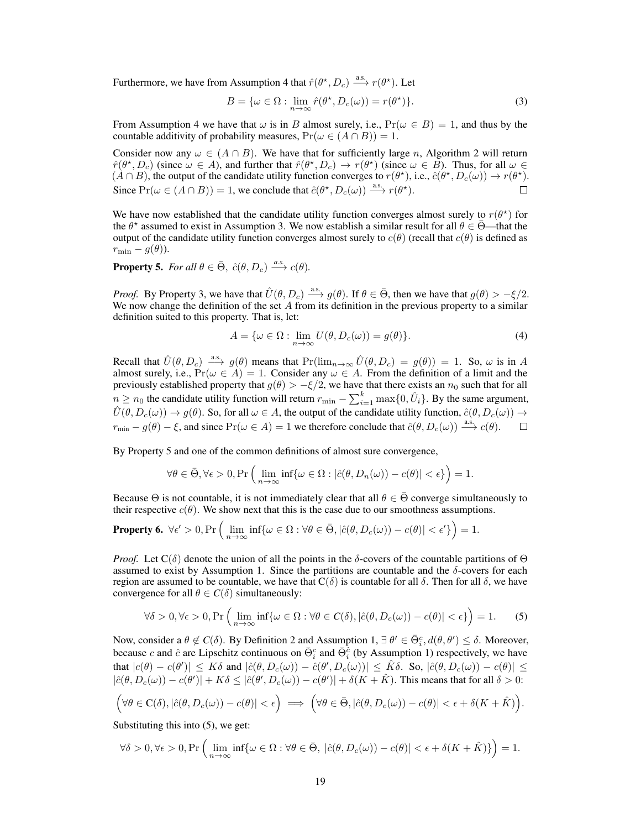Furthermore, we have from Assumption 4 that  $\hat{r}(\theta^*, D_c) \xrightarrow{a.s.} r(\theta^*)$ . Let

$$
B = \{ \omega \in \Omega : \lim_{n \to \infty} \hat{r}(\theta^*, D_c(\omega)) = r(\theta^*) \}.
$$
 (3)

From Assumption 4 we have that  $\omega$  is in *B* almost surely, i.e.,  $Pr(\omega \in B) = 1$ , and thus by the countable additivity of probability measures,  $Pr(\omega \in (A \cap B)) = 1$ .

Consider now any  $\omega \in (A \cap B)$ . We have that for sufficiently large *n*, Algorithm 2 will return  $\hat{r}(\theta^*, D_c)$  (since  $\omega \in A$ ), and further that  $\hat{r}(\theta^*, D_c) \to r(\theta^*)$  (since  $\omega \in B$ ). Thus, for all  $\omega \in A$  $(A \cap B)$ , the output of the candidate utility function converges to  $r(\theta^*)$ , i.e.,  $\hat{c}(\theta^*, D_c(\omega)) \to r(\theta^*)$ . Since  $Pr(\omega \in (A \cap B)) = 1$ , we conclude that  $\hat{c}(\theta^*, D_c(\omega)) \stackrel{\text{a.s.}}{\longrightarrow} r(\theta^*).$ 

We have now established that the candidate utility function converges almost surely to  $r(\theta^*)$  for the  $\theta^*$  assumed to exist in Assumption 3. We now establish a similar result for all  $\theta \in \overline{\Theta}$ —that the output of the candidate utility function converges almost surely to  $c(\theta)$  (recall that  $c(\theta)$  is defined as  $r_{\min} - g(\theta)$ ).

**Property 5.** For all  $\theta \in \bar{\Theta}$ ,  $\hat{c}(\theta, D_c) \stackrel{a.s.}{\longrightarrow} c(\theta)$ .

*Proof.* By Property 3, we have that  $\hat{U}(\theta, D_c) \stackrel{\text{a.s.}}{\longrightarrow} g(\theta)$ . If  $\theta \in \bar{\Theta}$ , then we have that  $g(\theta) > -\xi/2$ . We now change the definition of the set *A* from its definition in the previous property to a similar definition suited to this property. That is, let:

$$
A = \{ \omega \in \Omega : \lim_{n \to \infty} U(\theta, D_c(\omega)) = g(\theta) \}.
$$
 (4)

Recall that  $\hat{U}(\theta, D_c) \stackrel{\text{a.s.}}{\longrightarrow} g(\theta)$  means that  $Pr(\lim_{n\to\infty} \hat{U}(\theta, D_c) = g(\theta)) = 1$ . So,  $\omega$  is in *A* almost surely, i.e.,  $Pr(\omega \in A) = 1$ . Consider any  $\omega \in A$ . From the definition of a limit and the previously established property that  $g(\theta) > -\xi/2$ , we have that there exists an  $n_0$  such that for all  $n \geq n_0$  the candidate utility function will return  $r_{\min} - \sum_{i=1}^{k} \max\{0, \hat{U}_i\}$ . By the same argument,  $\hat{U}(\theta, D_c(\omega)) \to g(\theta)$ . So, for all  $\omega \in A$ , the output of the candidate utility function,  $\hat{c}(\theta, D_c(\omega)) \to$  $r_{\min} - g(\theta) - \xi$ , and since  $\Pr(\omega \in A) = 1$  we therefore conclude that  $\hat{c}(\theta, D_c(\omega)) \stackrel{\text{a.s.}}{\longrightarrow} c(\theta)$ .

By Property 5 and one of the common definitions of almost sure convergence,

$$
\forall \theta \in \bar{\Theta}, \forall \epsilon > 0, \Pr\Big(\lim_{n \to \infty} \inf \{ \omega \in \Omega : |\hat{c}(\theta, D_n(\omega)) - c(\theta)| < \epsilon \} \Big) = 1.
$$

Because  $\Theta$  is not countable, it is not immediately clear that all  $\theta \in \Theta$  converge simultaneously to their respective  $c(\theta)$ . We show next that this is the case due to our smoothness assumptions.

**Property 6.** 
$$
\forall \epsilon' > 0
$$
,  $\Pr\left(\lim_{n \to \infty} \inf \{\omega \in \Omega : \forall \theta \in \bar{\Theta}, |\hat{c}(\theta, D_c(\omega)) - c(\theta)| < \epsilon' \}\right) = 1.$ 

*Proof.* Let  $C(\delta)$  denote the union of all the points in the  $\delta$ -covers of the countable partitions of  $\Theta$ assumed to exist by Assumption 1. Since the partitions are countable and the  $\delta$ -covers for each region are assumed to be countable, we have that  $C(\delta)$  is countable for all  $\delta$ . Then for all  $\delta$ , we have convergence for all  $\theta \in C(\delta)$  simultaneously:

$$
\forall \delta > 0, \forall \epsilon > 0, \Pr\left(\lim_{n \to \infty} \inf \{\omega \in \Omega : \forall \theta \in C(\delta), |\hat{c}(\theta, D_c(\omega)) - c(\theta)| < \epsilon\}\right) = 1. \tag{5}
$$

Now, consider a  $\theta \notin C(\delta)$ . By Definition 2 and Assumption 1,  $\exists \theta' \in \bar{\Theta}_i^c$ ,  $d(\theta, \theta') \leq \delta$ . Moreover, because *c* and  $\hat{c}$  are Lipschitz continuous on  $\bar{\Theta}_i^c$  and  $\bar{\Theta}_i^c$  (by Assumption 1) respectively, we have that  $|c(\theta) - c(\theta')| \leq K\delta$  and  $|\hat{c}(\theta, D_c(\omega)) - \hat{c}(\theta', D_c(\omega))| \leq \hat{K}\delta$ . So,  $|\hat{c}(\theta, D_c(\omega)) - c(\theta)| \leq$  $|\hat{c}(\theta, D_c(\omega)) - c(\theta')| + K\delta \leq |\hat{c}(\theta', D_c(\omega)) - c(\theta')| + \delta(K + \hat{K})$ . This means that for all  $\delta > 0$ :

$$
(\forall \theta \in \mathbf{C}(\delta), |\hat{c}(\theta, D_c(\omega)) - c(\theta)| < \epsilon) \implies (\forall \theta \in \bar{\Theta}, |\hat{c}(\theta, D_c(\omega)) - c(\theta)| < \epsilon + \delta(K + \hat{K}).
$$

Substituting this into (5), we get:

$$
\forall \delta > 0, \forall \epsilon > 0, \Pr\Big(\lim_{n \to \infty} \inf \{ \omega \in \Omega : \forall \theta \in \bar{\Theta}, \ |\hat{c}(\theta,D_c(\omega)) - c(\theta)| < \epsilon + \delta(K + \hat{K}) \} \Big) = 1.
$$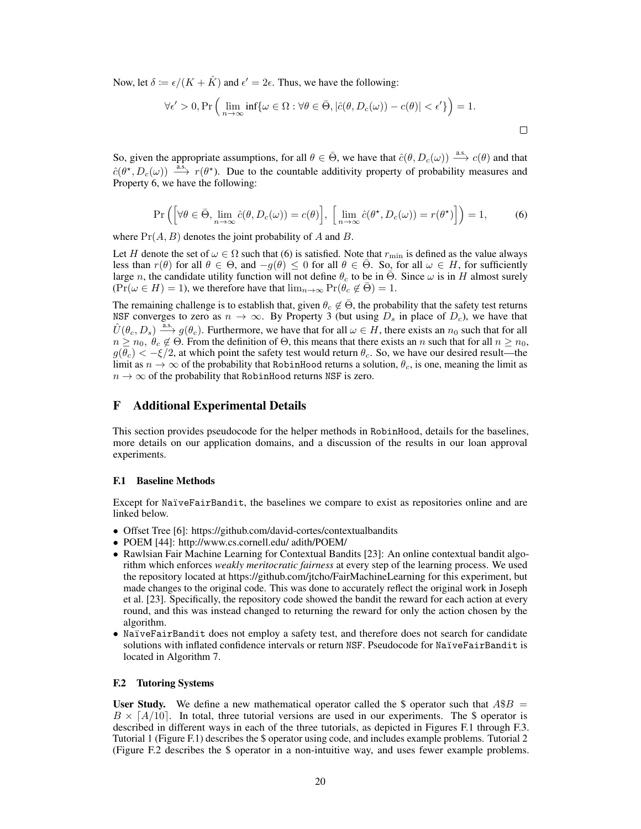Now, let  $\delta := \epsilon/(K + \hat{K})$  and  $\epsilon' = 2\epsilon$ . Thus, we have the following:

$$
\forall \epsilon' > 0, \Pr\left(\lim_{n \to \infty} \inf \{ \omega \in \Omega : \forall \theta \in \bar{\Theta}, |\hat{c}(\theta, D_c(\omega)) - c(\theta)| < \epsilon' \} \right) = 1.
$$

So, given the appropriate assumptions, for all  $\theta \in \bar{\Theta}$ , we have that  $\hat{c}(\theta, D_c(\omega)) \stackrel{\text{a.s.}}{\longrightarrow} c(\theta)$  and that  $\hat{c}(\theta^*, D_c(\omega)) \stackrel{\text{a.s.}}{\longrightarrow} r(\theta^*)$ . Due to the countable additivity property of probability measures and Property 6, we have the following:

$$
\Pr\left(\left[\forall\theta\in\bar{\Theta},\lim_{n\to\infty}\hat{c}(\theta,D_c(\omega))=c(\theta)\right],\ \left[\lim_{n\to\infty}\hat{c}(\theta^\star,D_c(\omega))=r(\theta^\star)\right]\right)=1,\tag{6}
$$

where Pr(*A, B*) denotes the joint probability of *A* and *B*.

Let *H* denote the set of  $\omega \in \Omega$  such that (6) is satisfied. Note that  $r_{\min}$  is defined as the value always less than  $r(\theta)$  for all  $\theta \in \Theta$ , and  $-g(\theta) \leq 0$  for all  $\theta \in \overline{\Theta}$ . So, for all  $\omega \in H$ , for sufficiently large *n*, the candidate utility function will not define  $\theta_c$  to be in  $\overline{\Theta}$ . Since  $\omega$  is in *H* almost surely  $(\Pr(\omega \in H) = 1)$ , we therefore have that  $\lim_{n \to \infty} \Pr(\theta_c \notin \overline{\Theta}) = 1$ .

The remaining challenge is to establish that, given  $\theta_c \notin \overline{\Theta}$ , the probability that the safety test returns NSF converges to zero as  $n \to \infty$ . By Property 3 (but using  $D_s$  in place of  $D_c$ ), we have that  $\hat{U}(\theta_c, D_s) \xrightarrow{a.s.} g(\theta_c)$ . Furthermore, we have that for all  $\omega \in H$ , there exists an  $n_0$  such that for all  $n \geq n_0, \theta_c \notin \Theta$ . From the definition of  $\Theta$ , this means that there exists an *n* such that for all  $n \geq n_0$ ,  $g(\overline{\theta}_c) < -\xi/2$ , at which point the safety test would return  $\theta_c$ . So, we have our desired result—the limit as  $n \to \infty$  of the probability that RobinHood returns a solution,  $\theta_c$ , is one, meaning the limit as  $n \to \infty$  of the probability that RobinHood returns NSF is zero.

## F Additional Experimental Details

This section provides pseudocode for the helper methods in RobinHood, details for the baselines, more details on our application domains, and a discussion of the results in our loan approval experiments.

#### F.1 Baseline Methods

Except for NaïveFairBandit, the baselines we compare to exist as repositories online and are linked below.

- Offset Tree [6]: https://github.com/david-cortes/contextualbandits
- *•* POEM [44]: http://www.cs.cornell.edu/ adith/POEM/
- Rawlsian Fair Machine Learning for Contextual Bandits [23]: An online contextual bandit algorithm which enforces *weakly meritocratic fairness* at every step of the learning process. We used the repository located at https://github.com/jtcho/FairMachineLearning for this experiment, but made changes to the original code. This was done to accurately reflect the original work in Joseph et al. [23]. Specifically, the repository code showed the bandit the reward for each action at every round, and this was instead changed to returning the reward for only the action chosen by the algorithm.
- *•* NaïveFairBandit does not employ a safety test, and therefore does not search for candidate solutions with inflated confidence intervals or return NSF. Pseudocode for NaïveFairBandit is located in Algorithm 7.

#### F.2 Tutoring Systems

User Study. We define a new mathematical operator called the \$ operator such that  $A\$ B =  $B \times [A/10]$ . In total, three tutorial versions are used in our experiments. The \$ operator is described in different ways in each of the three tutorials, as depicted in Figures F.1 through F.3. Tutorial 1 (Figure F.1) describes the \$ operator using code, and includes example problems. Tutorial 2 (Figure F.2 describes the \$ operator in a non-intuitive way, and uses fewer example problems.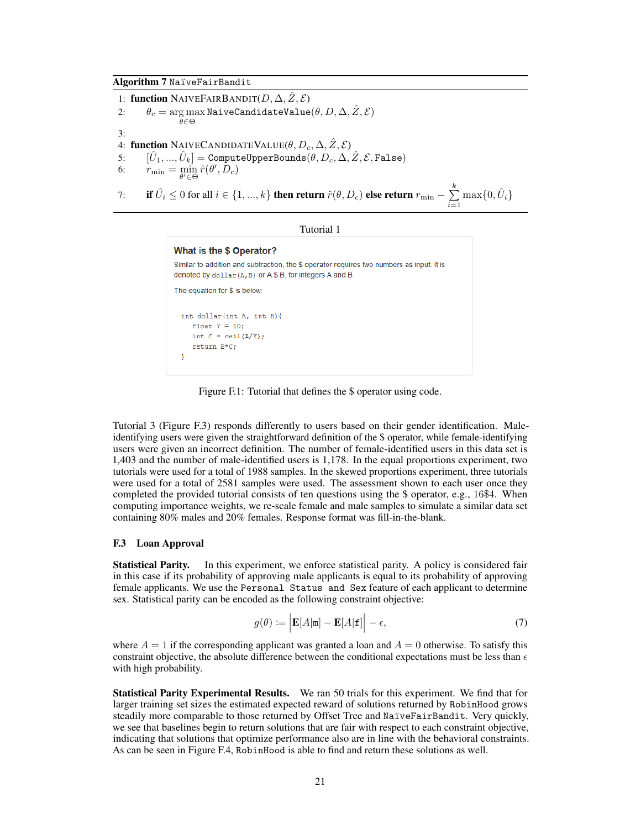1: **function** NAIVEFAIRBANDIT $(D, \Delta, \hat{Z}, \mathcal{E})$ <br>2:  $\theta_c = \arg \max$  NaiveCandidateValue 2:  $\theta_c = \argmax_{\theta \in \Omega} \text{NaiveC and}$ idateValue $(\theta, D, \Delta, \hat{Z}, \mathcal{E})$  $\theta \in \Theta$ 3: 4: **function** NAIVECANDIDATEVALUE $(\theta, D_c, \Delta, \hat{Z}, \mathcal{E})$ <br>5:  $[\hat{U}_1, ..., \hat{U}_k] =$  ComputeUpperBounds $(\theta, D_c, \Delta, \Delta)$  $[\hat{U}_1, ..., \hat{U}_k] = \text{ComputeUpperBounds}(\theta, D_c, \Delta, \hat{Z}, \mathcal{E}, \text{False})$ 6:  $r_{\min} = \min_{\theta' \in \Theta} \hat{r}(\theta', D_c)$ 7: **if**  $\hat{U}_i \leq 0$  for all  $i \in \{1, ..., k\}$  then return  $\hat{r}(\theta, D_c)$  else return  $r_{\min} - \sum_{i=1}^k \hat{V}_i$  $\sum_{i=1}^{n} \max\{0, \hat{U}_i\}$ 

Tutorial 1

```
What is the $ Operator?
Similar to addition and subtraction, the $ operator requires two numbers as input. It is
denoted by dollar (A, B) or A $ B, for integers A and B.
The equation for $ is below:
  int dollar (int A, int B) {
      float Y = 10;
     int C = \operatorname{ceil}(A/Y);
     return B*C;
  \overline{\mathbf{r}}
```
Figure F.1: Tutorial that defines the \$ operator using code.

Tutorial 3 (Figure F.3) responds differently to users based on their gender identification. Maleidentifying users were given the straightforward definition of the \$ operator, while female-identifying users were given an incorrect definition. The number of female-identified users in this data set is 1,403 and the number of male-identified users is 1,178. In the equal proportions experiment, two tutorials were used for a total of 1988 samples. In the skewed proportions experiment, three tutorials were used for a total of 2581 samples were used. The assessment shown to each user once they completed the provided tutorial consists of ten questions using the \$ operator, e.g., 16\$4. When computing importance weights, we re-scale female and male samples to simulate a similar data set containing 80% males and 20% females. Response format was fill-in-the-blank.

#### F.3 Loan Approval

Statistical Parity. In this experiment, we enforce statistical parity. A policy is considered fair in this case if its probability of approving male applicants is equal to its probability of approving female applicants. We use the Personal Status and Sex feature of each applicant to determine sex. Statistical parity can be encoded as the following constraint objective:

$$
g(\theta) := \left| \mathbf{E}[A|\mathbf{m}] - \mathbf{E}[A|\mathbf{f}] \right| - \epsilon,\tag{7}
$$

where  $A = 1$  if the corresponding applicant was granted a loan and  $A = 0$  otherwise. To satisfy this constraint objective, the absolute difference between the conditional expectations must be less than  $\epsilon$ with high probability.

Statistical Parity Experimental Results. We ran 50 trials for this experiment. We find that for larger training set sizes the estimated expected reward of solutions returned by RobinHood grows steadily more comparable to those returned by Offset Tree and NaïveFairBandit. Very quickly, we see that baselines begin to return solutions that are fair with respect to each constraint objective, indicating that solutions that optimize performance also are in line with the behavioral constraints. As can be seen in Figure F.4, RobinHood is able to find and return these solutions as well.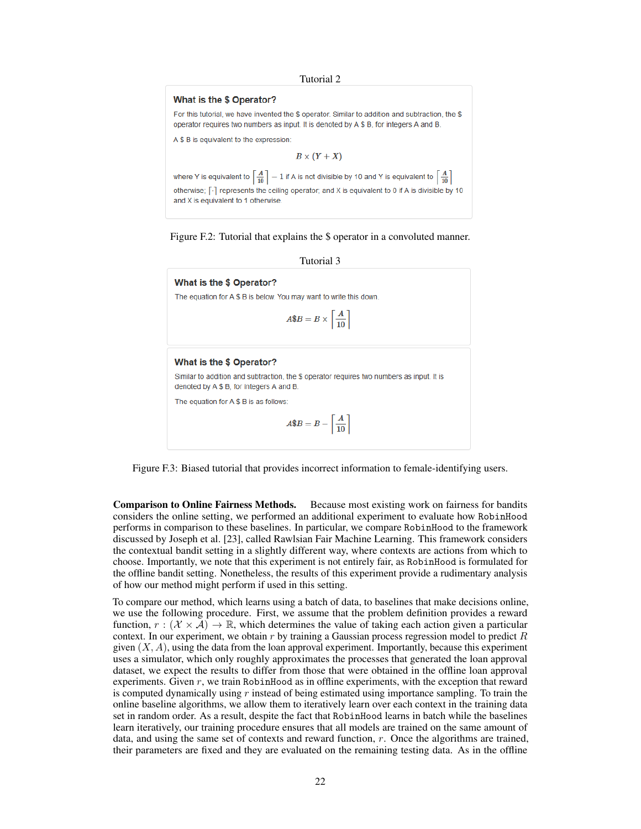#### Tutorial 2

#### What is the \$ Operator?

For this tutorial, we have invented the \$ operator. Similar to addition and subtraction, the \$ operator requires two numbers as input. It is denoted by A \$ B, for integers A and B.

A \$ B is equivalent to the expression:

 $B \times (Y + X)$ 

where Y is equivalent to  $\left\lceil \frac{A}{10} \right\rceil - 1$  if A is not divisible by 10 and Y is equivalent to  $\left\lceil \frac{A}{10} \right\rceil$ otherwise; [-] represents the ceiling operator; and X is equivalent to 0 if A is divisible by 10 and X is equivalent to 1 otherwise

Figure F.2: Tutorial that explains the \$ operator in a convoluted manner.



What is the \$ Operator?

The equation for A \$ B is below. You may want to write this down.

$$
A\$B=B\times \left\lceil \frac{A}{10} \right\rceil
$$

#### What is the \$ Operator?

Similar to addition and subtraction, the \$ operator requires two numbers as input. It is denoted by A \$ B, for integers A and B.

The equation for A \$ B is as follows

$$
A\$B=B-\left\lceil\frac{A}{10}\right\rceil
$$

Figure F.3: Biased tutorial that provides incorrect information to female-identifying users.

Comparison to Online Fairness Methods. Because most existing work on fairness for bandits considers the online setting, we performed an additional experiment to evaluate how RobinHood performs in comparison to these baselines. In particular, we compare RobinHood to the framework discussed by Joseph et al. [23], called Rawlsian Fair Machine Learning. This framework considers the contextual bandit setting in a slightly different way, where contexts are actions from which to choose. Importantly, we note that this experiment is not entirely fair, as RobinHood is formulated for the offline bandit setting. Nonetheless, the results of this experiment provide a rudimentary analysis of how our method might perform if used in this setting.

To compare our method, which learns using a batch of data, to baselines that make decisions online, we use the following procedure. First, we assume that the problem definition provides a reward function,  $r : (\mathcal{X} \times \mathcal{A}) \to \mathbb{R}$ , which determines the value of taking each action given a particular context. In our experiment, we obtain *r* by training a Gaussian process regression model to predict *R* given  $(X, A)$ , using the data from the loan approval experiment. Importantly, because this experiment uses a simulator, which only roughly approximates the processes that generated the loan approval dataset, we expect the results to differ from those that were obtained in the offline loan approval experiments. Given *r*, we train RobinHood as in offline experiments, with the exception that reward is computed dynamically using *r* instead of being estimated using importance sampling. To train the online baseline algorithms, we allow them to iteratively learn over each context in the training data set in random order. As a result, despite the fact that RobinHood learns in batch while the baselines learn iteratively, our training procedure ensures that all models are trained on the same amount of data, and using the same set of contexts and reward function, *r*. Once the algorithms are trained, their parameters are fixed and they are evaluated on the remaining testing data. As in the offline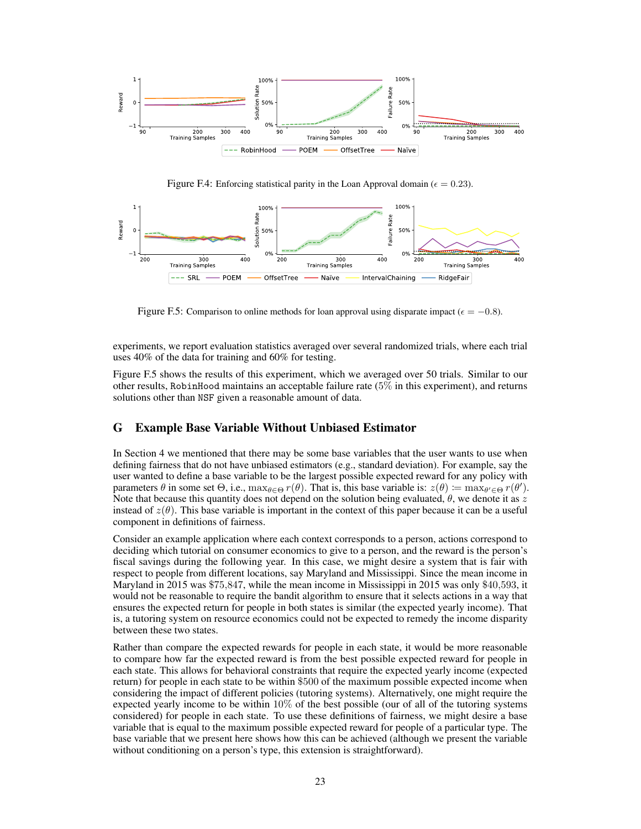

Figure F.4: Enforcing statistical parity in the Loan Approval domain ( $\epsilon = 0.23$ ).



Figure F.5: Comparison to online methods for loan approval using disparate impact ( $\epsilon = -0.8$ ).

experiments, we report evaluation statistics averaged over several randomized trials, where each trial uses 40% of the data for training and 60% for testing.

Figure F.5 shows the results of this experiment, which we averaged over 50 trials. Similar to our other results, RobinHood maintains an acceptable failure rate (5% in this experiment), and returns solutions other than NSF given a reasonable amount of data.

## G Example Base Variable Without Unbiased Estimator

In Section 4 we mentioned that there may be some base variables that the user wants to use when defining fairness that do not have unbiased estimators (e.g., standard deviation). For example, say the user wanted to define a base variable to be the largest possible expected reward for any policy with parameters  $\theta$  in some set  $\Theta$ , i.e.,  $\max_{\theta \in \Theta} r(\theta)$ . That is, this base variable is:  $z(\theta) = \max_{\theta' \in \Theta} r(\theta')$ . Note that because this quantity does not depend on the solution being evaluated,  $\theta$ , we denote it as  $z$ instead of  $z(\theta)$ . This base variable is important in the context of this paper because it can be a useful component in definitions of fairness.

Consider an example application where each context corresponds to a person, actions correspond to deciding which tutorial on consumer economics to give to a person, and the reward is the person's fiscal savings during the following year. In this case, we might desire a system that is fair with respect to people from different locations, say Maryland and Mississippi. Since the mean income in Maryland in 2015 was \$75*,*847, while the mean income in Mississippi in 2015 was only \$40*,*593, it would not be reasonable to require the bandit algorithm to ensure that it selects actions in a way that ensures the expected return for people in both states is similar (the expected yearly income). That is, a tutoring system on resource economics could not be expected to remedy the income disparity between these two states.

Rather than compare the expected rewards for people in each state, it would be more reasonable to compare how far the expected reward is from the best possible expected reward for people in each state. This allows for behavioral constraints that require the expected yearly income (expected return) for people in each state to be within \$500 of the maximum possible expected income when considering the impact of different policies (tutoring systems). Alternatively, one might require the expected yearly income to be within 10% of the best possible (our of all of the tutoring systems considered) for people in each state. To use these definitions of fairness, we might desire a base variable that is equal to the maximum possible expected reward for people of a particular type. The base variable that we present here shows how this can be achieved (although we present the variable without conditioning on a person's type, this extension is straightforward).